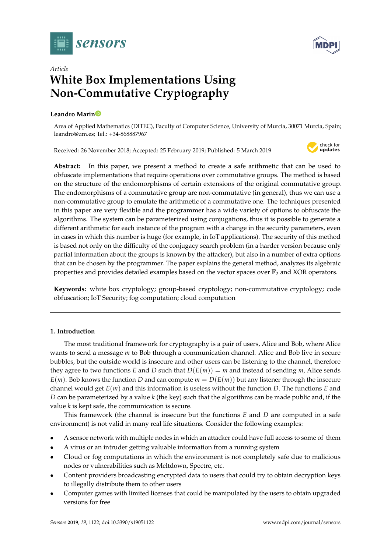



# *Article* **White Box Implementations Using Non-Commutative Cryptography**

# **Leandro Mari[n](https://orcid.org/0000-0002-4258-1187)**

Area of Applied Mathematics (DITEC), Faculty of Computer Science, University of Murcia, 30071 Murcia, Spain; leandro@um.es; Tel.: +34-868887967

Received: 26 November 2018; Accepted: 25 February 2019; Published: 5 March 2019



**Abstract:** In this paper, we present a method to create a safe arithmetic that can be used to obfuscate implementations that require operations over commutative groups. The method is based on the structure of the endomorphisms of certain extensions of the original commutative group. The endomorphisms of a commutative group are non-commutative (in general), thus we can use a non-commutative group to emulate the arithmetic of a commutative one. The techniques presented in this paper are very flexible and the programmer has a wide variety of options to obfuscate the algorithms. The system can be parameterized using conjugations, thus it is possible to generate a different arithmetic for each instance of the program with a change in the security parameters, even in cases in which this number is huge (for example, in IoT applications). The security of this method is based not only on the difficulty of the conjugacy search problem (in a harder version because only partial information about the groups is known by the attacker), but also in a number of extra options that can be chosen by the programmer. The paper explains the general method, analyzes its algebraic properties and provides detailed examples based on the vector spaces over  $\mathbb{F}_2$  and XOR operators.

**Keywords:** white box cryptology; group-based cryptology; non-commutative cryptology; code obfuscation; IoT Security; fog computation; cloud computation

# **1. Introduction**

The most traditional framework for cryptography is a pair of users, Alice and Bob, where Alice wants to send a message *m* to Bob through a communication channel. Alice and Bob live in secure bubbles, but the outside world is insecure and other users can be listening to the channel, therefore they agree to two functions *E* and *D* such that  $D(E(m)) = m$  and instead of sending *m*, Alice sends  $E(m)$ . Bob knows the function *D* and can compute  $m = D(E(m))$  but any listener through the insecure channel would get *E*(*m*) and this information is useless without the function *D*. The functions *E* and *D* can be parameterized by a value *k* (the key) such that the algorithms can be made public and, if the value *k* is kept safe, the communication is secure.

This framework (the channel is insecure but the functions *E* and *D* are computed in a safe environment) is not valid in many real life situations. Consider the following examples:

- A sensor network with multiple nodes in which an attacker could have full access to some of them
- A virus or an intruder getting valuable information from a running system
- Cloud or fog computations in which the environment is not completely safe due to malicious nodes or vulnerabilities such as Meltdown, Spectre, etc.
- Content providers broadcasting encrypted data to users that could try to obtain decryption keys to illegally distribute them to other users
- Computer games with limited licenses that could be manipulated by the users to obtain upgraded versions for free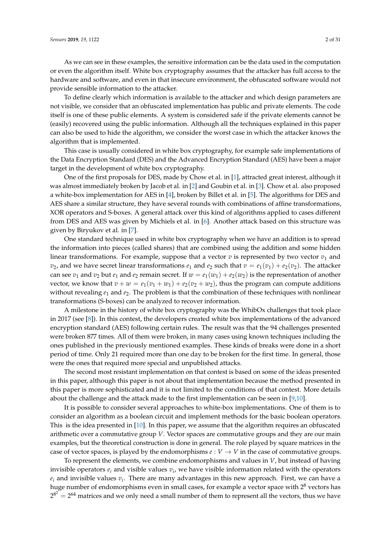As we can see in these examples, the sensitive information can be the data used in the computation or even the algorithm itself. White box cryptography assumes that the attacker has full access to the hardware and software, and even in that insecure environment, the obfuscated software would not provide sensible information to the attacker.

To define clearly which information is available to the attacker and which design parameters are not visible, we consider that an obfuscated implementation has public and private elements. The code itself is one of these public elements. A system is considered safe if the private elements cannot be (easily) recovered using the public information. Although all the techniques explained in this paper can also be used to hide the algorithm, we consider the worst case in which the attacker knows the algorithm that is implemented.

This case is usually considered in white box cryptography, for example safe implementations of the Data Encryption Standard (DES) and the Advanced Encryption Standard (AES) have been a major target in the development of white box cryptography.

One of the first proposals for DES, made by Chow et al. in [\[1\]](#page-29-0), attracted great interest, although it was almost immediately broken by Jacob et al. in [\[2\]](#page-29-1) and Goubin et al. in [\[3\]](#page-29-2). Chow et al. also proposed a white-box implementation for AES in [\[4\]](#page-29-3), broken by Billet et al. in [\[5\]](#page-29-4). The algorithms for DES and AES share a similar structure, they have several rounds with combinations of affine transformations, XOR operators and S-boxes. A general attack over this kind of algorithms applied to cases different from DES and AES was given by Michiels et al. in [\[6\]](#page-29-5). Another attack based on this structure was given by Biryukov et al. in [\[7\]](#page-29-6).

One standard technique used in white box cryptography when we have an addition is to spread the information into pieces (called shares) that are combined using the addition and some hidden linear transformations. For example, suppose that a vector  $v$  is represented by two vector  $v_1$  and  $v_2$ , and we have secret linear transformations  $e_1$  and  $e_2$  such that  $v = e_1(v_1) + e_2(v_2)$ . The attacker can see  $v_1$  and  $v_2$  but  $e_1$  and  $e_2$  remain secret. If  $w = e_1(w_1) + e_2(w_2)$  is the representation of another vector, we know that  $v + w = e_1(v_1 + w_1) + e_2(v_2 + w_2)$ , thus the program can compute additions without revealing  $e_1$  and  $e_2$ . The problem is that the combination of these techniques with nonlinear transformations (S-boxes) can be analyzed to recover information.

A milestone in the history of white box cryptography was the WhibOx challenges that took place in 2017 (see [\[8\]](#page-29-7)). In this contest, the developers created white box implementations of the advanced encryption standard (AES) following certain rules. The result was that the 94 challenges presented were broken 877 times. All of them were broken, in many cases using known techniques including the ones published in the previously mentioned examples. These kinds of breaks were done in a short period of time. Only 21 required more than one day to be broken for the first time. In general, those were the ones that required more special and unpublished attacks.

The second most resistant implementation on that contest is based on some of the ideas presented in this paper, although this paper is not about that implementation because the method presented in this paper is more sophisticated and it is not limited to the conditions of that contest. More details about the challenge and the attack made to the first implementation can be seen in [\[9](#page-29-8)[,10\]](#page-29-9).

It is possible to consider several approaches to white-box implementations. One of them is to consider an algorithm as a boolean circuit and implement methods for the basic boolean operators. This is the idea presented in [\[10\]](#page-29-9). In this paper, we assume that the algorithm requires an obfuscated arithmetic over a commutative group *V*. Vector spaces are commutative groups and they are our main examples, but the theoretical construction is done in general. The role played by square matrices in the case of vector spaces, is played by the endomorphisms  $e: V \to V$  in the case of commutative groups.

To represent the elements, we combine endomorphisms and values in *V*, but instead of having invisible operators *e<sup>i</sup>* and visible values *v<sup>i</sup>* , we have visible information related with the operators  $e_i$  and invisible values  $v_i$ . There are many advantages in this new approach. First, we can have a huge number of endomorphisms even in small cases, for example a vector space with  $2^8$  vectors has  $2^{8^2} = 2^{64}$  matrices and we only need a small number of them to represent all the vectors, thus we have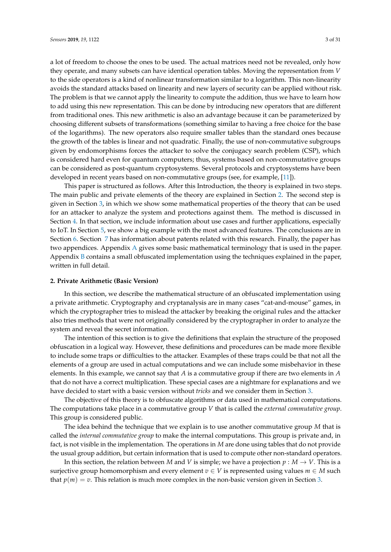a lot of freedom to choose the ones to be used. The actual matrices need not be revealed, only how they operate, and many subsets can have identical operation tables. Moving the representation from *V* to the side operators is a kind of nonlinear transformation similar to a logarithm. This non-linearity avoids the standard attacks based on linearity and new layers of security can be applied without risk. The problem is that we cannot apply the linearity to compute the addition, thus we have to learn how to add using this new representation. This can be done by introducing new operators that are different from traditional ones. This new arithmetic is also an advantage because it can be parameterized by choosing different subsets of transformations (something similar to having a free choice for the base of the logarithms). The new operators also require smaller tables than the standard ones because the growth of the tables is linear and not quadratic. Finally, the use of non-commutative subgroups given by endomorphisms forces the attacker to solve the conjugacy search problem (CSP), which is considered hard even for quantum computers; thus, systems based on non-commutative groups can be considered as post-quantum cryptosystems. Several protocols and cryptosystems have been developed in recent years based on non-commutative groups (see, for example, [\[11\]](#page-30-0)).

This paper is structured as follows. After this Introduction, the theory is explained in two steps. The main public and private elements of the theory are explained in Section [2.](#page-2-0) The second step is given in Section [3,](#page-8-0) in which we show some mathematical properties of the theory that can be used for an attacker to analyze the system and protections against them. The method is discussed in Section [4.](#page-11-0) In that section, we include information about use cases and further applications, especially to IoT. In Section [5,](#page-14-0) we show a big example with the most advanced features. The conclusions are in Section [6.](#page-16-0) Section [7](#page-16-1) has information about patents related with this research. Finally, the paper has two appendices. Appendix [A](#page-17-0) gives some basic mathematical terminology that is used in the paper. Appendix [B](#page-18-0) contains a small obfuscated implementation using the techniques explained in the paper, written in full detail.

#### <span id="page-2-0"></span>**2. Private Arithmetic (Basic Version)**

In this section, we describe the mathematical structure of an obfuscated implementation using a private arithmetic. Cryptography and cryptanalysis are in many cases "cat-and-mouse" games, in which the cryptographer tries to mislead the attacker by breaking the original rules and the attacker also tries methods that were not originally considered by the cryptographer in order to analyze the system and reveal the secret information.

The intention of this section is to give the definitions that explain the structure of the proposed obfuscation in a logical way. However, these definitions and procedures can be made more flexible to include some traps or difficulties to the attacker. Examples of these traps could be that not all the elements of a group are used in actual computations and we can include some misbehavior in these elements. In this example, we cannot say that *A* is a commutative group if there are two elements in *A* that do not have a correct multiplication. These special cases are a nightmare for explanations and we have decided to start with a basic version without *tricks* and we consider them in Section [3.](#page-8-0)

The objective of this theory is to obfuscate algorithms or data used in mathematical computations. The computations take place in a commutative group *V* that is called the *external commutative group*. This group is considered public.

The idea behind the technique that we explain is to use another commutative group *M* that is called the *internal commutative group* to make the internal computations. This group is private and, in fact, is not visible in the implementation. The operations in *M* are done using tables that do not provide the usual group addition, but certain information that is used to compute other non-standard operators.

In this section, the relation between *M* and *V* is simple; we have a projection  $p : M \to V$ . This is a surjective group homomorphism and every element  $v \in V$  is represented using values  $m \in M$  such that  $p(m) = v$ . This relation is much more complex in the non-basic version given in Section [3.](#page-8-0)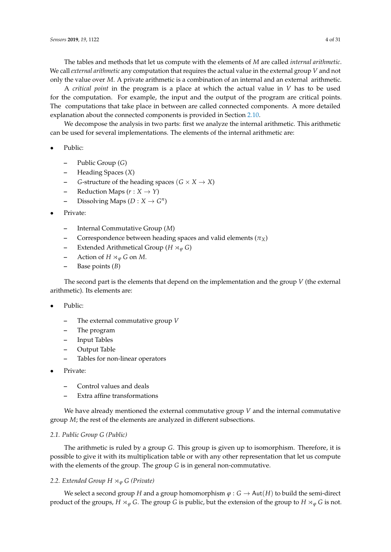The tables and methods that let us compute with the elements of *M* are called *internal arithmetic*. We call *external arithmetic* any computation that requires the actual value in the external group *V* and not only the value over *M*. A private arithmetic is a combination of an internal and an external arithmetic.

A *critical point* in the program is a place at which the actual value in *V* has to be used for the computation. For example, the input and the output of the program are critical points. The computations that take place in between are called connected components. A more detailed explanation about the connected components is provided in Section [2.10.](#page-6-0)

We decompose the analysis in two parts: first we analyze the internal arithmetic. This arithmetic can be used for several implementations. The elements of the internal arithmetic are:

- Public:
	- **–** Public Group (*G*)
	- **–** Heading Spaces (*X*)
	- *G*-structure of the heading spaces  $(G \times X \rightarrow X)$
	- Reduction Maps  $(r : X \rightarrow Y)$
	- **–** Dissolving Maps  $(D: X \to G^n)$
- Private:
	- **–** Internal Commutative Group (*M*)
	- **–** Correspondence between heading spaces and valid elements (*πX*)
	- **–** Extended Arithmetical Group ( $H \rtimes_{\varphi} G$ )
	- Action of  $H \rtimes_{\varphi} G$  on *M*.
	- **–** Base points (*B*)

The second part is the elements that depend on the implementation and the group *V* (the external arithmetic). Its elements are:

- Public:
	- **–** The external commutative group *V*
	- **–** The program
	- **–** Input Tables
	- **–** Output Table
	- **–** Tables for non-linear operators
- Private:
	- **–** Control values and deals
	- **–** Extra affine transformations

We have already mentioned the external commutative group *V* and the internal commutative group *M*; the rest of the elements are analyzed in different subsections.

## *2.1. Public Group G (Public)*

The arithmetic is ruled by a group *G*. This group is given up to isomorphism. Therefore, it is possible to give it with its multiplication table or with any other representation that let us compute with the elements of the group. The group *G* is in general non-commutative.

## 2.2. Extended Group  $H \rtimes_{\varphi} G$  (Private)

We select a second group *H* and a group homomorphism  $\varphi$  :  $G \to Aut(H)$  to build the semi-direct product of the groups,  $H \rtimes_{\varphi} G$ . The group *G* is public, but the extension of the group to  $H \rtimes_{\varphi} G$  is not.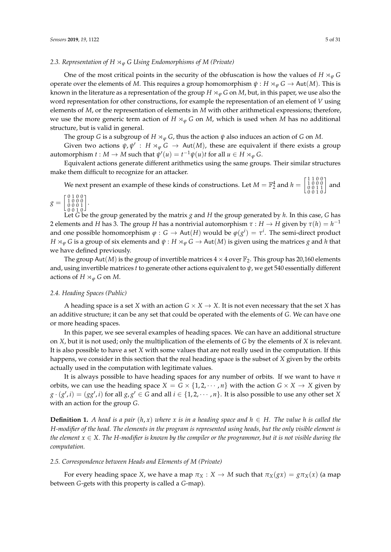## *2.3. Representation of H*  $\rtimes_{\varphi}$  *G Using Endomorphisms of M (Private)*

One of the most critical points in the security of the obfuscation is how the values of  $H \rtimes_{\varphi} G$ operate over the elements of *M*. This requires a group homomorphism  $\psi : H \rtimes_{\varphi} G \to \text{Aut}(M)$ . This is known in the literature as a representation of the group  $H \rtimes_{\varphi} G$  on  $M$ , but, in this paper, we use also the word representation for other constructions, for example the representation of an element of *V* using elements of *M*, or the representation of elements in *M* with other arithmetical expressions; therefore, we use the more generic term action of  $H \rtimes_{\varphi} G$  on *M*, which is used when *M* has no additional structure, but is valid in general.

The group *G* is a subgroup of  $H \rtimes_{\varphi} G$ , thus the action  $\psi$  also induces an action of *G* on *M*.

Given two actions  $\psi, \psi'$  :  $H \rtimes_{\varphi} G \to \text{Aut}(M)$ , these are equivalent if there exists a group automorphism  $t : M \to M$  such that  $\psi'(u) = t^{-1}\psi(u)t$  for all  $u \in H \rtimes_{\varphi} G$ .

Equivalent actions generate different arithmetics using the same groups. Their similar structures make them difficult to recognize for an attacker.

We next present an example of these kinds of constructions. Let  $M = \mathbb{F}_2^4$  and  $h = \begin{bmatrix} 1 & 1 & 0 & 0 \\ 1 & 0 & 0 & 0 \\ 0 & 0 & 1 & 1 \end{bmatrix}$ 0 0 1 0 and

 $g = \left[ \begin{smallmatrix} 0 & 1 & 0 & 0 \ 1 & 0 & 0 & 0 \ 0 & 0 & 0 & 1 \ 0 & 0 & 1 & 0 \end{smallmatrix} \right]$ .

Let *G* be the group generated by the matrix *g* and *H* the group generated by *h*. In this case, *G* has 2 elements and *H* has 3. The group *H* has a nontrivial automorphism *τ* : *H* → *H* given by *τ*(*h*) = *h* −1 and one possible homomorphism  $\varphi : G \to \text{Aut}(H)$  would be  $\varphi(g^i) = \tau^i$ . The semi-direct product *H*  $\rtimes_{\varphi}$  *G* is a group of six elements and  $\psi$  : *H*  $\rtimes_{\varphi}$  *G*  $\rightarrow$  Aut(*M*) is given using the matrices *g* and *h* that we have defined previously.

The group Aut(*M*) is the group of invertible matrices  $4 \times 4$  over  $\mathbb{F}_2$ . This group has 20,160 elements and, using invertible matrices *t* to generate other actions equivalent to *ψ*, we get 540 essentially different actions of  $H \rtimes_{\varphi} G$  on  $M$ .

#### *2.4. Heading Spaces (Public)*

A heading space is a set *X* with an action  $G \times X \rightarrow X$ . It is not even necessary that the set *X* has an additive structure; it can be any set that could be operated with the elements of *G*. We can have one or more heading spaces.

In this paper, we see several examples of heading spaces. We can have an additional structure on *X*, but it is not used; only the multiplication of the elements of *G* by the elements of *X* is relevant. It is also possible to have a set *X* with some values that are not really used in the computation. If this happens, we consider in this section that the real heading space is the subset of *X* given by the orbits actually used in the computation with legitimate values.

It is always possible to have heading spaces for any number of orbits. If we want to have *n* orbits, we can use the heading space  $X = G \times \{1, 2, \dots, n\}$  with the action  $G \times X \rightarrow X$  given by  $g \cdot (g', i) = (gg', i)$  for all  $g, g' \in G$  and all  $i \in \{1, 2, \cdots, n\}$ . It is also possible to use any other set *X* with an action for the group *G*.

**Definition 1.** *A head is a pair*  $(h, x)$  *where*  $x$  *is in a heading space and*  $h \in H$ . The value  $h$  *is called the H-modifier of the head. The elements in the program is represented using heads, but the only visible element is the element*  $x \in X$ . The *H-modifier is known by the compiler or the programmer, but it is not visible during the computation.*

## *2.5. Correspondence between Heads and Elements of M (Private)*

For every heading space *X*, we have a map  $\pi_X : X \to M$  such that  $\pi_X(gx) = g\pi_X(x)$  (a map between *G*-gets with this property is called a *G*-map).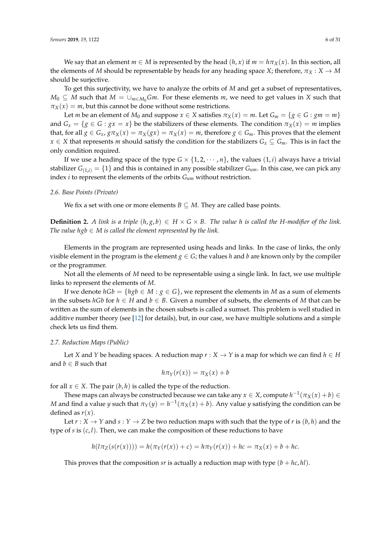We say that an element  $m \in M$  is represented by the head  $(h, x)$  if  $m = h \pi_X(x)$ . In this section, all the elements of *M* should be representable by heads for any heading space *X*; therefore,  $\pi_X : X \to M$ should be surjective.

To get this surjectivity, we have to analyze the orbits of *M* and get a subset of representatives, *M*<sub>0</sub> ⊆ *M* such that  $M = \bigcup_{m \in M_0} Gm$ . For these elements *m*, we need to get values in *X* such that  $\pi_X(x) = m$ , but this cannot be done without some restrictions.

Let *m* be an element of  $M_0$  and suppose  $x \in X$  satisfies  $\pi_X(x) = m$ . Let  $G_m = \{g \in G : gm = m\}$ and  $G_x = \{g \in G : gx = x\}$  be the stabilizers of these elements. The condition  $\pi_X(x) = m$  implies that, for all  $g \in G_x$ ,  $g\pi_X(x) = \pi_X(gx) = \pi_X(x) = m$ , therefore  $g \in G_m$ . This proves that the element *x* ∈ *X* that represents *m* should satisfy the condition for the stabilizers  $G_x$  ⊆  $G_m$ . This is in fact the only condition required.

If we use a heading space of the type  $G \times \{1, 2, \dots, n\}$ , the values  $(1, i)$  always have a trivial stabilizer  $G_{(1,i)} = \{1\}$  and this is contained in any possible stabilizer  $G_{um}$ . In this case, we can pick any index *i* to represent the elements of the orbits *Gum* without restriction.

## *2.6. Base Points (Private)*

We fix a set with one or more elements  $B \subseteq M$ . They are called base points.

**Definition 2.** *A link is a triple*  $(h, g, b) \in H \times G \times B$ . The value *h* is called the *H*-modifier of the link. *The value hgb*  $\in$  *M* is called the element represented by the link.

Elements in the program are represented using heads and links. In the case of links, the only visible element in the program is the element *g*  $\in$  *G*; the values *h* and *b* are known only by the compiler or the programmer.

Not all the elements of *M* need to be representable using a single link. In fact, we use multiple links to represent the elements of *M*.

If we denote  $hGb = \{hgb \in M : g \in G\}$ , we represent the elements in *M* as a sum of elements in the subsets *hGb* for  $h \in H$  and  $b \in B$ . Given a number of subsets, the elements of *M* that can be written as the sum of elements in the chosen subsets is called a sumset. This problem is well studied in additive number theory (see [\[12\]](#page-30-1) for details), but, in our case, we have multiple solutions and a simple check lets us find them.

## <span id="page-5-0"></span>*2.7. Reduction Maps (Public)*

Let *X* and *Y* be heading spaces. A reduction map  $r : X \to Y$  is a map for which we can find  $h \in H$ and  $b \in B$  such that

$$
h\pi_Y(r(x)) = \pi_X(x) + b
$$

for all  $x \in X$ . The pair  $(b, h)$  is called the type of the reduction.

These maps can always be constructed because we can take any  $x \in X$ , compute  $h^{-1}(\pi_X(x) + b) \in$ *M* and find a value *y* such that  $\pi_Y(y) = h^{-1}(\pi_X(x) + b)$ . Any value *y* satisfying the condition can be defined as *r*(*x*).

Let  $r : X \to Y$  and  $s : Y \to Z$  be two reduction maps with such that the type of r is  $(b, h)$  and the type of *s* is (*c*, *l*). Then, we can make the composition of these reductions to have

$$
h(l\pi_Z(s(r(x)))) = h(\pi_Y(r(x)) + c) = h\pi_Y(r(x)) + hc = \pi_X(x) + b + hc.
$$

This proves that the composition *sr* is actually a reduction map with type  $(b + hc, hl)$ .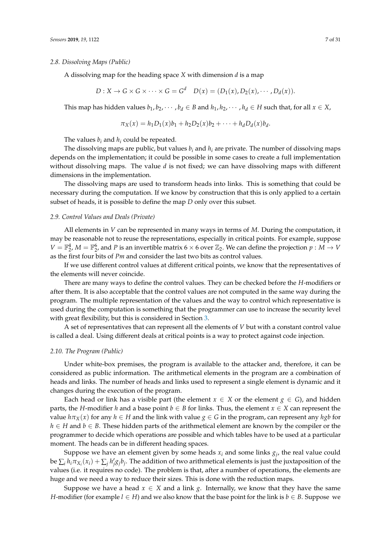#### *2.8. Dissolving Maps (Public)*

A dissolving map for the heading space *X* with dimension *d* is a map

$$
D: X \to G \times G \times \cdots \times G = G^d \quad D(x) = (D_1(x), D_2(x), \cdots, D_d(x)).
$$

This map has hidden values  $b_1, b_2, \dots, b_d \in B$  and  $h_1, h_2, \dots, h_d \in H$  such that, for all  $x \in X$ ,

$$
\pi_X(x) = h_1 D_1(x) b_1 + h_2 D_2(x) b_2 + \cdots + h_d D_d(x) b_d.
$$

The values  $b_i$  and  $h_i$  could be repeated.

The dissolving maps are public, but values *b<sup>i</sup>* and *h<sup>i</sup>* are private. The number of dissolving maps depends on the implementation; it could be possible in some cases to create a full implementation without dissolving maps. The value *d* is not fixed; we can have dissolving maps with different dimensions in the implementation.

The dissolving maps are used to transform heads into links. This is something that could be necessary during the computation. If we know by construction that this is only applied to a certain subset of heads, it is possible to define the map *D* only over this subset.

## *2.9. Control Values and Deals (Private)*

All elements in *V* can be represented in many ways in terms of *M*. During the computation, it may be reasonable not to reuse the representations, especially in critical points. For example, suppose  $V = \mathbb{F}_2^4$ ,  $M = \mathbb{F}_2^6$ , and *P* is an invertible matrix 6 × 6 over  $\mathbb{Z}_2$ . We can define the projection  $p : M \to V$ as the first four bits of *Pm* and consider the last two bits as control values.

If we use different control values at different critical points, we know that the representatives of the elements will never coincide.

There are many ways to define the control values. They can be checked before the *H*-modifiers or after them. It is also acceptable that the control values are not computed in the same way during the program. The multiple representation of the values and the way to control which representative is used during the computation is something that the programmer can use to increase the security level with great flexibility, but this is considered in Section [3.](#page-8-0)

A set of representatives that can represent all the elements of *V* but with a constant control value is called a deal. Using different deals at critical points is a way to protect against code injection.

#### <span id="page-6-0"></span>*2.10. The Program (Public)*

Under white-box premises, the program is available to the attacker and, therefore, it can be considered as public information. The arithmetical elements in the program are a combination of heads and links. The number of heads and links used to represent a single element is dynamic and it changes during the execution of the program.

Each head or link has a visible part (the element  $x \in X$  or the element  $g \in G$ ), and hidden parts, the *H*-modifier *h* and a base point  $b \in B$  for links. Thus, the element  $x \in X$  can represent the value  $h\pi_X(x)$  for any  $h \in H$  and the link with value  $g \in G$  in the program, can represent any  $hgb$  for *h* ∈ *H* and *b* ∈ *B*. These hidden parts of the arithmetical element are known by the compiler or the programmer to decide which operations are possible and which tables have to be used at a particular moment. The heads can be in different heading spaces.

Suppose we have an element given by some heads  $x_i$  and some links  $g_j$ , the real value could be  $\sum_i h_i \pi_{X_i}(x_i) + \sum_j h'_j g_j b_j$ . The addition of two arithmetical elements is just the juxtaposition of the values (i.e. it requires no code). The problem is that, after a number of operations, the elements are huge and we need a way to reduce their sizes. This is done with the reduction maps.

Suppose we have a head  $x \in X$  and a link *g*. Internally, we know that they have the same *H*-modifier (for example *l* ∈ *H*) and we also know that the base point for the link is  $b \in B$ . Suppose we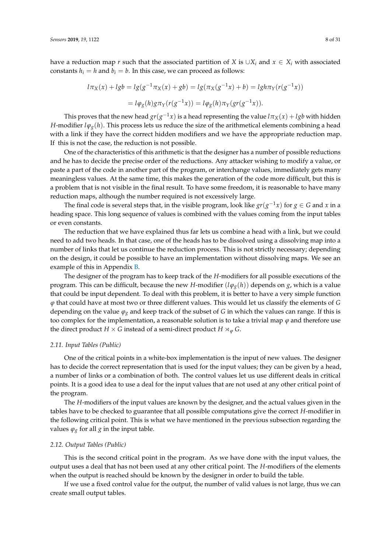have a reduction map *r* such that the associated partition of *X* is  $\cup X_i$  and  $x \in X_i$  with associated constants  $h_i = h$  and  $b_i = b$ . In this case, we can proceed as follows:

$$
l\pi_X(x) + lgb = lg(g^{-1}\pi_X(x) + gb) = lg(\pi_X(g^{-1}x) + b) = lgh\pi_Y(r(g^{-1}x))
$$
  
=  $l\varphi_g(h)g\pi_Y(r(g^{-1}x)) = l\varphi_g(h)\pi_Y(gr(g^{-1}x)).$ 

This proves that the new head  $gr(g^{-1}x)$  is a head representing the value  $l\pi_X(x)+lgb$  with hidden *H*-modifier  $l\varphi_{\varphi}(h)$ . This process lets us reduce the size of the arithmetical elements combining a head with a link if they have the correct hidden modifiers and we have the appropriate reduction map. If this is not the case, the reduction is not possible.

One of the characteristics of this arithmetic is that the designer has a number of possible reductions and he has to decide the precise order of the reductions. Any attacker wishing to modify a value, or paste a part of the code in another part of the program, or interchange values, immediately gets many meaningless values. At the same time, this makes the generation of the code more difficult, but this is a problem that is not visible in the final result. To have some freedom, it is reasonable to have many reduction maps, although the number required is not excessively large.

The final code is several steps that, in the visible program, look like  $gr(g^{-1}x)$  for  $g \in G$  and  $x$  in a heading space. This long sequence of values is combined with the values coming from the input tables or even constants.

The reduction that we have explained thus far lets us combine a head with a link, but we could need to add two heads. In that case, one of the heads has to be dissolved using a dissolving map into a number of links that let us continue the reduction process. This is not strictly necessary; depending on the design, it could be possible to have an implementation without dissolving maps. We see an example of this in Appendix [B.](#page-18-0)

The designer of the program has to keep track of the *H*-modifiers for all possible executions of the program. This can be difficult, because the new *H*-modifier  $(l\varphi_{\varrho}(h))$  depends on *g*, which is a value that could be input dependent. To deal with this problem, it is better to have a very simple function *ϕ* that could have at most two or three different values. This would let us classify the elements of *G* depending on the value  $\varphi$ <sup>*g*</sup> and keep track of the subset of *G* in which the values can range. If this is too complex for the implementation, a reasonable solution is to take a trivial map  $\varphi$  and therefore use the direct product *H* × *G* instead of a semi-direct product *H*  $\rtimes_{\varphi}$  *G*.

## *2.11. Input Tables (Public)*

One of the critical points in a white-box implementation is the input of new values. The designer has to decide the correct representation that is used for the input values; they can be given by a head, a number of links or a combination of both. The control values let us use different deals in critical points. It is a good idea to use a deal for the input values that are not used at any other critical point of the program.

The *H*-modifiers of the input values are known by the designer, and the actual values given in the tables have to be checked to guarantee that all possible computations give the correct *H*-modifier in the following critical point. This is what we have mentioned in the previous subsection regarding the values  $\varphi_g$  for all *g* in the input table.

#### *2.12. Output Tables (Public)*

This is the second critical point in the program. As we have done with the input values, the output uses a deal that has not been used at any other critical point. The *H*-modifiers of the elements when the output is reached should be known by the designer in order to build the table.

If we use a fixed control value for the output, the number of valid values is not large, thus we can create small output tables.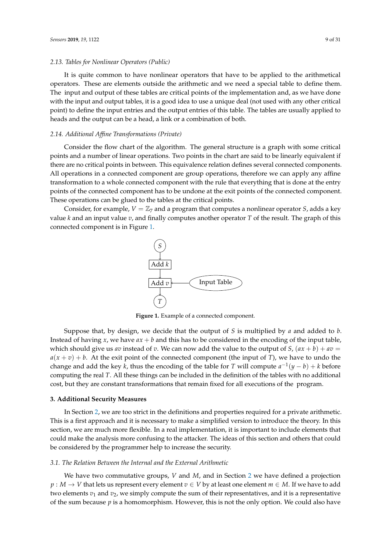## *2.13. Tables for Nonlinear Operators (Public)*

It is quite common to have nonlinear operators that have to be applied to the arithmetical operators. These are elements outside the arithmetic and we need a special table to define them. The input and output of these tables are critical points of the implementation and, as we have done with the input and output tables, it is a good idea to use a unique deal (not used with any other critical point) to define the input entries and the output entries of this table. The tables are usually applied to heads and the output can be a head, a link or a combination of both.

## *2.14. Additional Affine Transformations (Private)*

Consider the flow chart of the algorithm. The general structure is a graph with some critical points and a number of linear operations. Two points in the chart are said to be linearly equivalent if there are no critical points in between. This equivalence relation defines several connected components. All operations in a connected component are group operations, therefore we can apply any affine transformation to a whole connected component with the rule that everything that is done at the entry points of the connected component has to be undone at the exit points of the connected component. These operations can be glued to the tables at the critical points.

<span id="page-8-1"></span>Consider, for example,  $V = \mathbb{Z}_7$  and a program that computes a nonlinear operator *S*, adds a key value *k* and an input value *v*, and finally computes another operator *T* of the result. The graph of this connected component is in Figure [1.](#page-8-1)



**Figure 1.** Example of a connected component.

Suppose that, by design, we decide that the output of *S* is multiplied by *a* and added to *b*. Instead of having *x*, we have  $ax + b$  and this has to be considered in the encoding of the input table, which should give us *av* instead of *v*. We can now add the value to the output of *S*,  $(ax + b) + av =$  $a(x + v) + b$ . At the exit point of the connected component (the input of *T*), we have to undo the change and add the key *k*, thus the encoding of the table for *T* will compute  $a^{-1}(y - b) + k$  before computing the real *T*. All these things can be included in the definition of the tables with no additional cost, but they are constant transformations that remain fixed for all executions of the program.

#### <span id="page-8-0"></span>**3. Additional Security Measures**

In Section [2,](#page-2-0) we are too strict in the definitions and properties required for a private arithmetic. This is a first approach and it is necessary to make a simplified version to introduce the theory. In this section, we are much more flexible. In a real implementation, it is important to include elements that could make the analysis more confusing to the attacker. The ideas of this section and others that could be considered by the programmer help to increase the security.

## *3.1. The Relation Between the Internal and the External Arithmetic*

We have two commutative groups, *V* and *M*, and in Section [2](#page-2-0) we have defined a projection  $p : M \to V$  that lets us represent every element  $v \in V$  by at least one element  $m \in M$ . If we have to add two elements  $v_1$  and  $v_2$ , we simply compute the sum of their representatives, and it is a representative of the sum because *p* is a homomorphism. However, this is not the only option. We could also have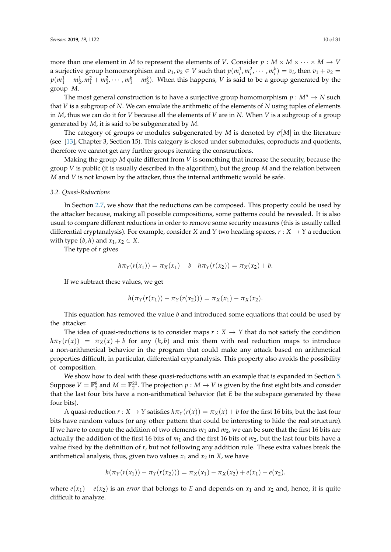more than one element in *M* to represent the elements of *V*. Consider  $p : M \times M \times \cdots \times M \rightarrow V$ a surjective group homomorphism and  $v_1, v_2 \in V$  such that  $p(m_i^1, m_i^2, \dots, m_i^k) = v_i$ , then  $v_1 + v_2 =$  $p(m_1^1 + m_2^1, m_1^2 + m_2^2, \cdots, m_1^k + m_2^k)$ . When this happens, *V* is said to be a group generated by the group *M*.

The most general construction is to have a surjective group homomorphism  $p : M^n \to N$  such that *V* is a subgroup of *N*. We can emulate the arithmetic of the elements of *N* using tuples of elements in *M*, thus we can do it for *V* because all the elements of *V* are in *N*. When *V* is a subgroup of a group generated by *M*, it is said to be subgenerated by *M*.

The category of groups or modules subgenerated by *M* is denoted by  $\sigma$ [*M*] in the literature (see [\[13\]](#page-30-2), Chapter 3, Section 15). This category is closed under submodules, coproducts and quotients, therefore we cannot get any further groups iterating the constructions.

Making the group *M* quite different from *V* is something that increase the security, because the group *V* is public (it is usually described in the algorithm), but the group *M* and the relation between *M* and *V* is not known by the attacker, thus the internal arithmetic would be safe.

#### <span id="page-9-0"></span>*3.2. Quasi-Reductions*

In Section [2.7,](#page-5-0) we show that the reductions can be composed. This property could be used by the attacker because, making all possible compositions, some patterns could be revealed. It is also usual to compare different reductions in order to remove some security measures (this is usually called differential cryptanalysis). For example, consider *X* and *Y* two heading spaces,  $r : X \rightarrow Y$  a reduction with type  $(b, h)$  and  $x_1, x_2 \in X$ .

The type of *r* gives

$$
h\pi_Y(r(x_1)) = \pi_X(x_1) + b \quad h\pi_Y(r(x_2)) = \pi_X(x_2) + b.
$$

If we subtract these values, we get

$$
h(\pi_Y(r(x_1)) - \pi_Y(r(x_2))) = \pi_X(x_1) - \pi_X(x_2).
$$

This equation has removed the value *b* and introduced some equations that could be used by the attacker.

The idea of quasi-reductions is to consider maps  $r : X \to Y$  that do not satisfy the condition  $h\pi_Y(r(x)) = \pi_X(x) + b$  for any  $(h, b)$  and mix them with real reduction maps to introduce a non-arithmetical behavior in the program that could make any attack based on arithmetical properties difficult, in particular, differential cryptanalysis. This property also avoids the possibility of composition.

We show how to deal with these quasi-reductions with an example that is expanded in Section [5.](#page-14-0) Suppose  $V = \mathbb{F}_2^8$  and  $M = \mathbb{F}_2^{20}$ . The projection  $p : M \to V$  is given by the first eight bits and consider that the last four bits have a non-arithmetical behavior (let *E* be the subspace generated by these four bits).

A quasi-reduction  $r : X \to Y$  satisfies  $h\pi_Y(r(x)) = \pi_X(x) + b$  for the first 16 bits, but the last four bits have random values (or any other pattern that could be interesting to hide the real structure). If we have to compute the addition of two elements *m*<sup>1</sup> and *m*2, we can be sure that the first 16 bits are actually the addition of the first 16 bits of  $m_1$  and the first 16 bits of  $m_2$ , but the last four bits have a value fixed by the definition of *r*, but not following any addition rule. These extra values break the arithmetical analysis, thus, given two values  $x_1$  and  $x_2$  in  $X$ , we have

$$
h(\pi_Y(r(x_1)) - \pi_Y(r(x_2))) = \pi_X(x_1) - \pi_X(x_2) + e(x_1) - e(x_2).
$$

where  $e(x_1) - e(x_2)$  is an *error* that belongs to *E* and depends on  $x_1$  and  $x_2$  and, hence, it is quite difficult to analyze.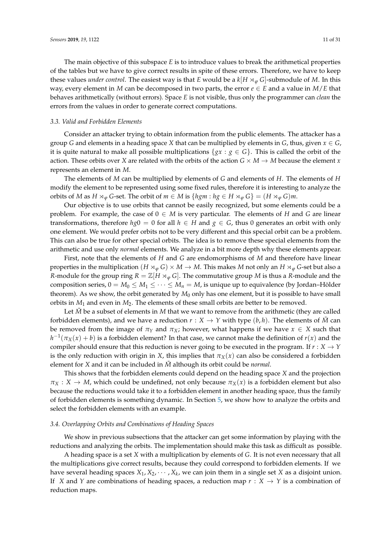The main objective of this subspace *E* is to introduce values to break the arithmetical properties of the tables but we have to give correct results in spite of these errors. Therefore, we have to keep these values *under control*. The easiest way is that *E* would be a  $k[H \rtimes_{\varphi} G]$ -submodule of *M*. In this way, every element in *M* can be decomposed in two parts, the error  $e \in E$  and a value in  $M/E$  that behaves arithmetically (without errors). Space *E* is not visible, thus only the programmer can *clean* the errors from the values in order to generate correct computations.

## *3.3. Valid and Forbidden Elements*

Consider an attacker trying to obtain information from the public elements. The attacker has a group *G* and elements in a heading space *X* that can be multiplied by elements in *G*, thus, given  $x \in G$ , it is quite natural to make all possible multiplications  $\{gx : g \in G\}$ . This is called the orbit of the action. These orbits over *X* are related with the orbits of the action  $G \times M \rightarrow M$  because the element *x* represents an element in *M*.

The elements of *M* can be multiplied by elements of *G* and elements of *H*. The elements of *H* modify the element to be represented using some fixed rules, therefore it is interesting to analyze the orbits of *M* as  $H \rtimes_{\varphi} G$ -set. The orbit of  $m \in M$  is  $\{hgm : hg \in H \rtimes_{\varphi} G\} = (H \rtimes_{\varphi} G)m$ .

Our objective is to use orbits that cannot be easily recognized, but some elements could be a problem. For example, the case of  $0 \in M$  is very particular. The elements of *H* and *G* are linear transformations, therefore  $hg0 = 0$  for all  $h \in H$  and  $g \in G$ , thus 0 generates an orbit with only one element. We would prefer orbits not to be very different and this special orbit can be a problem. This can also be true for other special orbits. The idea is to remove these special elements from the arithmetic and use only *normal* elements. We analyze in a bit more depth why these elements appear.

First, note that the elements of *H* and *G* are endomorphisms of *M* and therefore have linear properties in the multiplication ( $H \rtimes_{\varphi} G$ ) ×  $M \to M$ . This makes  $M$  not only an  $H \rtimes_{\varphi} G$ -set but also a *R*-module for the group ring  $R = \mathbb{Z}[H \rtimes_{\varphi} G]$ . The commutative group *M* is thus a *R*-module and the composition series,  $0 = M_0 \leq M_1 \leq \cdots \leq M_n = M$ , is unique up to equivalence (by Jordan–Hölder theorem). As we show, the orbit generated by  $M_0$  only has one element, but it is possible to have small orbits in  $M_1$  and even in  $M_2$ . The elements of these small orbits are better to be removed.

Let  $\tilde{M}$  be a subset of elements in  $M$  that we want to remove from the arithmetic (they are called forbidden elements), and we have a reduction  $r : X \to Y$  with type  $(b, h)$ . The elements of  $\tilde{M}$  can be removed from the image of  $\pi_Y$  and  $\pi_X$ ; however, what happens if we have  $x \in X$  such that  $h^{-1}(\pi_X(x)+b)$  is a forbidden element? In that case, we cannot make the definition of  $r(x)$  and the compiler should ensure that this reduction is never going to be executed in the program. If  $r : X \to Y$ is the only reduction with origin in *X*, this implies that  $\pi_X(x)$  can also be considered a forbidden element for *X* and it can be included in *M*˜ although its orbit could be *normal*.

This shows that the forbidden elements could depend on the heading space *X* and the projection  $\pi_X : X \to M$ , which could be undefined, not only because  $\pi_X(x)$  is a forbidden element but also because the reductions would take it to a forbidden element in another heading space, thus the family of forbidden elements is something dynamic. In Section [5,](#page-14-0) we show how to analyze the orbits and select the forbidden elements with an example.

## <span id="page-10-0"></span>*3.4. Overlapping Orbits and Combinations of Heading Spaces*

We show in previous subsections that the attacker can get some information by playing with the reductions and analyzing the orbits. The implementation should make this task as difficult as possible.

A heading space is a set *X* with a multiplication by elements of *G*. It is not even necessary that all the multiplications give correct results, because they could correspond to forbidden elements. If we have several heading spaces  $X_1, X_2, \cdots, X_k$ , we can join them in a single set *X* as a disjoint union. If *X* and *Y* are combinations of heading spaces, a reduction map  $r : X \rightarrow Y$  is a combination of reduction maps.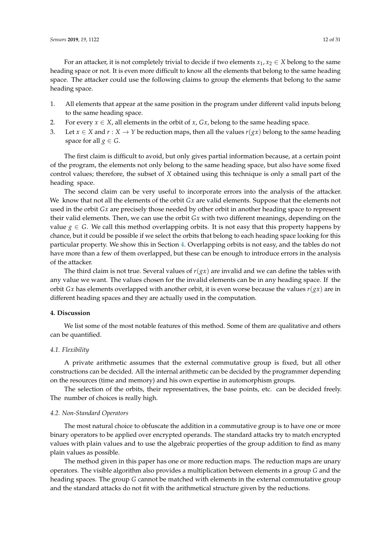For an attacker, it is not completely trivial to decide if two elements  $x_1, x_2 \in X$  belong to the same heading space or not. It is even more difficult to know all the elements that belong to the same heading space. The attacker could use the following claims to group the elements that belong to the same heading space.

- 1. All elements that appear at the same position in the program under different valid inputs belong to the same heading space.
- 2. For every  $x \in X$ , all elements in the orbit of *x*,  $Gx$ , belong to the same heading space.
- 3. Let *x* ∈ *X* and *r* : *X* → *Y* be reduction maps, then all the values *r*(*gx*) belong to the same heading space for all  $g \in G$ .

The first claim is difficult to avoid, but only gives partial information because, at a certain point of the program, the elements not only belong to the same heading space, but also have some fixed control values; therefore, the subset of *X* obtained using this technique is only a small part of the heading space.

The second claim can be very useful to incorporate errors into the analysis of the attacker. We know that not all the elements of the orbit *Gx* are valid elements. Suppose that the elements not used in the orbit *Gx* are precisely those needed by other orbit in another heading space to represent their valid elements. Then, we can use the orbit *Gx* with two different meanings, depending on the value  $g \in G$ . We call this method overlapping orbits. It is not easy that this property happens by chance, but it could be possible if we select the orbits that belong to each heading space looking for this particular property. We show this in Section [4.](#page-11-0) Overlapping orbits is not easy, and the tables do not have more than a few of them overlapped, but these can be enough to introduce errors in the analysis of the attacker.

The third claim is not true. Several values of  $r(gx)$  are invalid and we can define the tables with any value we want. The values chosen for the invalid elements can be in any heading space. If the orbit *Gx* has elements overlapped with another orbit, it is even worse because the values  $r(gx)$  are in different heading spaces and they are actually used in the computation.

# <span id="page-11-0"></span>**4. Discussion**

We list some of the most notable features of this method. Some of them are qualitative and others can be quantified.

## *4.1. Flexibility*

A private arithmetic assumes that the external commutative group is fixed, but all other constructions can be decided. All the internal arithmetic can be decided by the programmer depending on the resources (time and memory) and his own expertise in automorphism groups.

The selection of the orbits, their representatives, the base points, etc. can be decided freely. The number of choices is really high.

## *4.2. Non-Standard Operators*

The most natural choice to obfuscate the addition in a commutative group is to have one or more binary operators to be applied over encrypted operands. The standard attacks try to match encrypted values with plain values and to use the algebraic properties of the group addition to find as many plain values as possible.

The method given in this paper has one or more reduction maps. The reduction maps are unary operators. The visible algorithm also provides a multiplication between elements in a group *G* and the heading spaces. The group *G* cannot be matched with elements in the external commutative group and the standard attacks do not fit with the arithmetical structure given by the reductions.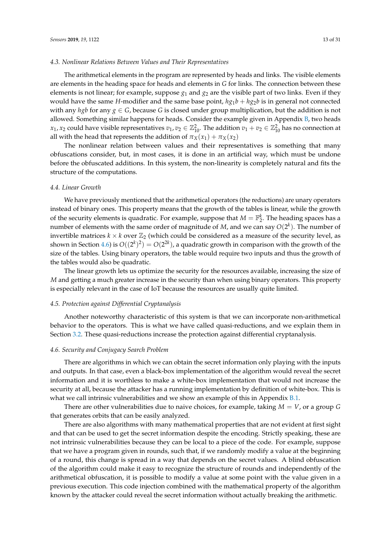## *4.3. Nonlinear Relations Between Values and Their Representatives*

The arithmetical elements in the program are represented by heads and links. The visible elements are elements in the heading space for heads and elements in *G* for links. The connection between these elements is not linear; for example, suppose  $g_1$  and  $g_2$  are the visible part of two links. Even if they would have the same *H*-modifier and the same base point,  $h g_1 b + h g_2 b$  is in general not connected with any  $hgb$  for any  $g \in G$ , because *G* is closed under group multiplication, but the addition is not allowed. Something similar happens for heads. Consider the example given in Appendix  $B$ , two heads  $x_1, x_2$  could have visible representatives  $v_1, v_2 \in \Z_{10}^2$ . The addition  $v_1 + v_2 \in \Z_{10}^2$  has no connection at all with the head that represents the addition of  $\pi_X(x_1) + \pi_X(x_2)$ 

The nonlinear relation between values and their representatives is something that many obfuscations consider, but, in most cases, it is done in an artificial way, which must be undone before the obfuscated additions. In this system, the non-linearity is completely natural and fits the structure of the computations.

## *4.4. Linear Growth*

We have previously mentioned that the arithmetical operators (the reductions) are unary operators instead of binary ones. This property means that the growth of the tables is linear, while the growth of the security elements is quadratic. For example, suppose that  $M = \mathbb{F}_2^k$ . The heading spaces has a number of elements with the same order of magnitude of *M*, and we can say *O*(2 *k* ). The number of invertible matrices  $k \times k$  over  $\mathbb{Z}_2$  (which could be considered as a measure of the security level, as shown in Section [4.6\)](#page-12-0) is  $O((2^k)^2) = O(2^{2k})$ , a quadratic growth in comparison with the growth of the size of the tables. Using binary operators, the table would require two inputs and thus the growth of the tables would also be quadratic.

The linear growth lets us optimize the security for the resources available, increasing the size of *M* and getting a much greater increase in the security than when using binary operators. This property is especially relevant in the case of IoT because the resources are usually quite limited.

## *4.5. Protection against Differential Cryptanalysis*

Another noteworthy characteristic of this system is that we can incorporate non-arithmetical behavior to the operators. This is what we have called quasi-reductions, and we explain them in Section [3.2.](#page-9-0) These quasi-reductions increase the protection against differential cryptanalysis.

## <span id="page-12-0"></span>*4.6. Security and Conjugacy Search Problem*

There are algorithms in which we can obtain the secret information only playing with the inputs and outputs. In that case, even a black-box implementation of the algorithm would reveal the secret information and it is worthless to make a white-box implementation that would not increase the security at all, because the attacker has a running implementation by definition of white-box. This is what we call intrinsic vulnerabilities and we show an example of this in Appendix [B.1.](#page-19-0)

There are other vulnerabilities due to naive choices, for example, taking *M* = *V*, or a group *G* that generates orbits that can be easily analyzed.

There are also algorithms with many mathematical properties that are not evident at first sight and that can be used to get the secret information despite the encoding. Strictly speaking, these are not intrinsic vulnerabilities because they can be local to a piece of the code. For example, suppose that we have a program given in rounds, such that, if we randomly modify a value at the beginning of a round, this change is spread in a way that depends on the secret values. A blind obfuscation of the algorithm could make it easy to recognize the structure of rounds and independently of the arithmetical obfuscation, it is possible to modify a value at some point with the value given in a previous execution. This code injection combined with the mathematical property of the algorithm known by the attacker could reveal the secret information without actually breaking the arithmetic.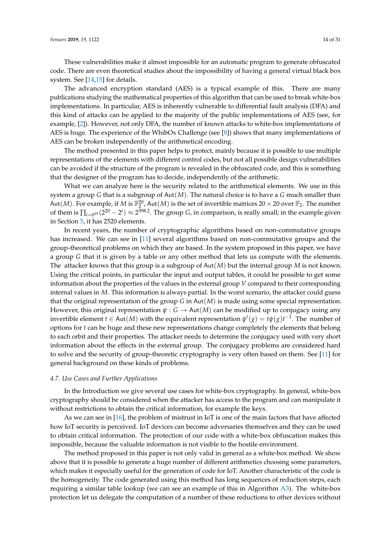These vulnerabilities make it almost impossible for an automatic program to generate obfuscated code. There are even theoretical studies about the impossibility of having a general virtual black box system. See [\[14](#page-30-3)[,15\]](#page-30-4) for details.

The advanced encryption standard (AES) is a typical example of this. There are many publications studying the mathematical properties of this algorithm that can be used to break white-box implementations. In particular, AES is inherently vulnerable to differential fault analysis (DFA) and this kind of attacks can be applied to the majority of the public implementations of AES (see, for example, [\[2\]](#page-29-1)). However, not only DFA, the number of known attacks to white-box implementations of AES is huge. The experience of the WhibOx Challenge (see [\[8\]](#page-29-7)) shows that many implementations of AES can be broken independently of the arithmetical encoding.

The method presented in this paper helps to protect, mainly because it is possible to use multiple representations of the elements with different control codes, but not all possible design vulnerabilities can be avoided if the structure of the program is revealed in the obfuscated code, and this is something that the designer of the program has to decide, independently of the arithmetic.

What we can analyze here is the security related to the arithmetical elements. We use in this system a group *G* that is a subgroup of Aut(*M*). The natural choice is to have a *G* much smaller than Aut(*M*). For example, if *M* is  $\mathbb{F}_2^{20}$ , Aut(*M*) is the set of invertible matrices 20  $\times$  20 over  $\mathbb{F}_2$ . The number of them is  $\prod_{i=0^{19}} (2^{20} - 2^i) \approx 2^{398.2}$ . The group *G*, in comparison, is really small; in the example given in Section [5,](#page-14-0) it has 2520 elements.

In recent years, the number of cryptographic algorithms based on non-commutative groups has increased. We can see in [\[11\]](#page-30-0) several algorithms based on non-commutative groups and the group-theoretical problems on which they are based. In the system proposed in this paper, we have a group *G* that it is given by a table or any other method that lets us compute with the elements. The attacker knows that this group is a subgroup of Aut(*M*) but the internal group *M* is not known. Using the critical points, in particular the input and output tables, it could be possible to get some information about the properties of the values in the external group *V* compared to their corresponding internal values in *M*. This information is always partial. In the worst scenario, the attacker could guess that the original representation of the group *G* in Aut(*M*) is made using some special representation. However, this original representation  $\psi : G \to \text{Aut}(M)$  can be modified up to conjugacy using any invertible element *t* ∈ Aut(*M*) with the equivalent representation  $ψ'(g) = tψ(g)t^{-1}$ . The number of options for *t* can be huge and these new representations change completely the elements that belong to each orbit and their properties. The attacker needs to determine the conjugacy used with very short information about the effects in the external group. The conjugacy problems are considered hard to solve and the security of group-theoretic cryptography is very often based on them. See [\[11\]](#page-30-0) for general background on these kinds of problems.

#### *4.7. Use Cases and Further Applications*

In the Introduction we give several use cases for white-box cryptography. In general, white-box cryptography should be considered when the attacker has access to the program and can manipulate it without restrictions to obtain the critical information, for example the keys.

As we can see in [\[16\]](#page-30-5), the problem of mistrust in IoT is one of the main factors that have affected how IoT security is perceived. IoT devices can become adversaries themselves and they can be used to obtain critical information. The protection of our code with a white-box obfuscation makes this impossible, because the valuable information is not visible to the hostile environment.

The method proposed in this paper is not only valid in general as a white-box method. We show above that it is possible to generate a huge number of different arithmetics choosing some parameters, which makes it especially useful for the generation of code for IoT. Another characteristic of the code is the homogeneity. The code generated using this method has long sequences of reduction steps, each requiring a similar table lookup (we can see an example of this in Algorithm [A3\)](#page-24-0). The white-box protection let us delegate the computation of a number of these reductions to other devices without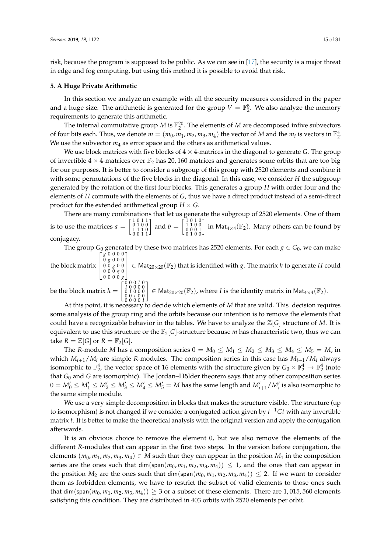risk, because the program is supposed to be public. As we can see in [\[17\]](#page-30-6), the security is a major threat in edge and fog computing, but using this method it is possible to avoid that risk.

#### <span id="page-14-0"></span>**5. A Huge Private Arithmetic**

In this section we analyze an example with all the security measures considered in the paper and a huge size. The arithmetic is generated for the group  $V = \mathbb{F}_2^8$ . We also analyze the memory requirements to generate this arithmetic.

The internal commutative group  $M$  is  $\mathbb{F}_2^{20}$ . The elements of  $M$  are decomposed infive subvectors of four bits each. Thus, we denote  $m = (m_0, m_1, m_2, m_3, m_4)$  the vector of *M* and the  $m_i$  is vectors in  $\mathbb{F}_2^4$ . We use the subvector  $m_4$  as error space and the others as arithmetical values.

We use block matrices with five blocks of 4 × 4-matrices in the diagonal to generate *G*. The group of invertible  $4 \times 4$ -matrices over  $\mathbb{F}_2$  has 20, 160 matrices and generates some orbits that are too big for our purposes. It is better to consider a subgroup of this group with 2520 elements and combine it with some permutations of the five blocks in the diagonal. In this case, we consider *H* the subgroup generated by the rotation of the first four blocks. This generates a group *H* with order four and the elements of *H* commute with the elements of *G*, thus we have a direct product instead of a semi-direct product for the extended arithmetical group  $H \times G$ .

There are many combinations that let us generate the subgroup of 2520 elements. One of them is to use the matrices  $a = \begin{bmatrix} 1 & 0 & 1 & 1 \\ 0 & 1 & 0 & 0 \\ 1 & 1 & 1 & 0 \\ 0 & 0 & 1 & 1 \end{bmatrix}$ and  $b = \begin{bmatrix} 1 & 0 & 1 & 0 \\ 1 & 1 & 0 & 0 \\ 0 & 0 & 0 & 1 \\ 0 & 1 & 0 & 0 \end{bmatrix}$  $\Big]$  in Mat<sub>4×4</sub>( $\mathbb{F}_2$ ). Many others can be found by conjugacy.

The group  $G_0$  generated by these two matrices has 2520 elements. For each  $g \in G_0$ , we can make  $\lceil$ *g* 0 0 0 0 1

the block matrix  $\Big\}$ 0 *g* 0 0 0 0 0 *g* 0 0 0 0 0 *g* 0 0 0 0 0 *g*  $\in$  Mat<sub>20×20</sub>( $\mathbb{F}_2$ ) that is identified with *g*. The matrix *h* to generate *H* could

be the block matrix  $h = \begin{bmatrix} 0 & 0 & 0 & 0 \\ 0 & 0 & 0 & 0 \\ 0 & 0 & 1 & 0 \\ 0 & 0 & 0 & 0 \end{bmatrix}$  $\left[ \begin{smallmatrix} 0 & 0 & 0 & I & 0 \\ I & 0 & 0 & 0 & 0 \\ I & 0 & 0 & 0 & 0 \end{smallmatrix} \right]$  $\in$  Mat<sub>20×20</sub>( $\mathbb{F}_2$ ), where *I* is the identity matrix in Mat<sub>4×4</sub>( $\mathbb{F}_2$ ).

At this point, it is necessary to decide which elements of *M* that are valid. This decision requires some analysis of the group ring and the orbits because our intention is to remove the elements that could have a recognizable behavior in the tables. We have to analyze the Z[*G*] structure of *M*. It is equivalent to use this structure or the  $\mathbb{F}_2[G]$ -structure because *m* has characteristic two, thus we can take  $R = \mathbb{Z}[G]$  or  $R = \mathbb{F}_2[G]$ .

The *R*-module *M* has a composition series  $0 = M_0 \leq M_1 \leq M_2 \leq M_3 \leq M_4 \leq M_5 = M$ , in which  $M_{i+1}/M_i$  are simple *R*-modules. The composition series in this case has  $M_{i+1}/M_i$  always isomorphic to  $\mathbb{F}_2^4$ , the vector space of 16 elements with the structure given by  $G_0\times\mathbb{F}_2^4\to\mathbb{F}_2^4$  (note that *G*<sup>0</sup> and *G* are isomorphic). The Jordan–Hölder theorem says that any other composition series  $0=M_0'\le M_1'\le M_2'\le M_3'\le M_4'\le M_5'=M$  has the same length and  $M_{i+1}'/M_i'$  is also isomorphic to the same simple module.

We use a very simple decomposition in blocks that makes the structure visible. The structure (up to isomorphism) is not changed if we consider a conjugated action given by *t* <sup>−</sup>1*Gt* with any invertible matrix *t*. It is better to make the theoretical analysis with the original version and apply the conjugation afterwards.

It is an obvious choice to remove the element 0, but we also remove the elements of the different *R*-modules that can appear in the first two steps. In the version before conjugation, the elements  $(m_0, m_1, m_2, m_3, m_4) \in M$  such that they can appear in the position  $M_1$  in the composition series are the ones such that dim(span( $m_0$ ,  $m_1$ ,  $m_2$ ,  $m_3$ ,  $m_4$ ))  $\leq 1$ , and the ones that can appear in the position  $M_2$  are the ones such that dim(span( $m_0, m_1, m_2, m_3, m_4$ ))  $\leq$  2. If we want to consider them as forbidden elements, we have to restrict the subset of valid elements to those ones such that dim(span( $m_0$ ,  $m_1$ ,  $m_2$ ,  $m_3$ ,  $m_4$ ))  $\geq$  3 or a subset of these elements. There are 1,015,560 elements satisfying this condition. They are distributed in 403 orbits with 2520 elements per orbit.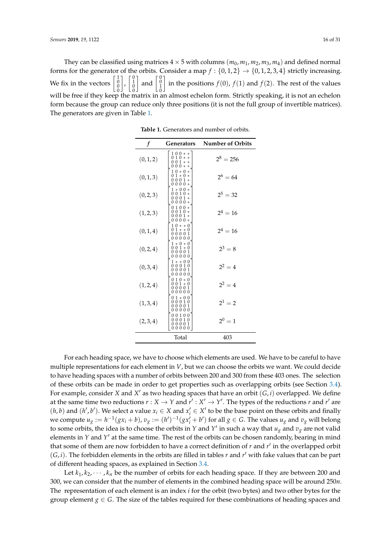<span id="page-15-0"></span>They can be classified using matrices  $4 \times 5$  with columns ( $m_0$ ,  $m_1$ ,  $m_2$ ,  $m_3$ ,  $m_4$ ) and defined normal forms for the generator of the orbits. Consider a map  $f : \{0,1,2\} \rightarrow \{0,1,2,3,4\}$  strictly increasing. We fix in the vectors 1 0 0 0 will be free if they keep the matrix in an almost echelon form. Strictly speaking, it is not an echelon ,  $\begin{bmatrix} 0 \\ 1 \\ 0 \\ 0 \end{bmatrix}$ 1 and  $\begin{bmatrix} 0 \\ 0 \\ 1 \\ 0 \end{bmatrix}$ in the positions  $f(0)$ ,  $f(1)$  and  $f(2)$ . The rest of the values form because the group can reduce only three positions (it is not the full group of invertible matrices). The generators are given in Table [1.](#page-15-0)

|           | Generators                                                                                                                                    | <b>Number of Orbits</b> |
|-----------|-----------------------------------------------------------------------------------------------------------------------------------------------|-------------------------|
| (0, 1, 2) | 100**<br>01<br>0<br>∗<br>∗<br>1<br>00<br>$*$<br>*<br>0<br>0<br>0<br>$\ast$<br>*                                                               | $2^8 = 256$             |
| (0, 1, 3) | 1<br>$0*$<br>0<br>$\ast$<br>01<br>$*0$<br>*<br>$\mathbf{1}$<br>000<br>*<br>0<br>0<br>0<br>0<br>*                                              | $2^6 = 64$              |
| (0, 2, 3) | 1<br>0<br>*.<br>0<br>*<br>00<br>1<br>0<br>$\ast$<br>1<br>$^{(1)}$<br>0<br>$\theta$<br>*<br>0<br>000<br>*                                      | $2^5 = 32$              |
| (1, 2, 3) | 0<br>1<br>0<br>0<br>$\ast$<br>001<br>0<br>$\ast$<br>000<br>1<br>$\ast$<br>0<br>0<br>0<br>0<br>$\ast$                                          | $2^4 = 16$              |
| (0, 1, 4) | $0*$<br>1<br>0<br>*<br>$\mathbf{1}$<br>0<br>$\ast$<br>$\ast$<br>0<br>1<br>0<br>$\boldsymbol{0}$<br>0<br>0<br>0<br>$\mathbf{0}$<br>0<br>0<br>0 | $2^4 = 16$              |
| (0, 2, 4) | 1<br>$\ast$<br>0<br>0<br>$*$<br>001<br>$\boldsymbol{0}$<br>$\ast$<br>0 <sub>0</sub><br>1<br>00<br>0<br>0<br>0<br>0<br>0                       | $2^3 = 8$               |
| (0, 3, 4) | 1<br>$\mathbf{0}$<br>* *<br>0<br>1<br>0<br>00<br>0<br>1<br>0<br>0<br>0<br>$\boldsymbol{0}$<br>0<br>0<br>0<br>0                                | $2^2 = 4$               |
| (1, 2, 4) | 0<br>1<br>0<br>0<br>$\ast$<br>00<br>1<br>$\ast$<br>0<br>$\boldsymbol{0}$<br>1<br>$\Omega$<br>00<br>0<br>00<br>0<br>0                          | $2^2 = 4$               |
| (1, 3, 4) | $\mathbf{1}$<br>$\ast$<br>$\mathbf{0}$<br>0<br>0<br>$\mathbf{1}$<br>000<br>0<br>1<br>000<br>$\bf{0}$<br>0<br>0<br>0<br>00                     | $2^1 = 2$               |
| (2,3,4)   | 0<br>1<br>0<br>$\theta$<br>0<br>1<br>00<br>0<br>0<br>1<br>0000<br>00<br>0<br>$\Omega$<br>$\theta$                                             | $2^0 = 1$               |
|           | Total                                                                                                                                         | 403                     |

**Table 1.** Generators and number of orbits.

For each heading space, we have to choose which elements are used. We have to be careful to have multiple representations for each element in *V*, but we can choose the orbits we want. We could decide to have heading spaces with a number of orbits between 200 and 300 from these 403 ones. The selection of these orbits can be made in order to get properties such as overlapping orbits (see Section [3.4\)](#page-10-0). For example, consider *X* and *X'* as two heading spaces that have an orbit  $(G, i)$  overlapped. We define at the same time two reductions  $r : X \to Y$  and  $r' : X' \to Y'$ . The types of the reductions *r* and  $r'$  are  $(h, b)$  and  $(h', b')$ . We select a value  $x_i \in X$  and  $x'_i \in X'$  to be the base point on these orbits and finally we compute  $u_g := h^{-1}(gx_i + b)$ ,  $v_g := (h')^{-1}(gx'_i + b')$  for all  $g \in G$ . The values  $u_g$  and  $v_g$  will belong to some orbits, the idea is to choose the orbits in *Y* and *Y'* in such a way that  $u_g$  and  $v_g$  are not valid elements in *Y* and *Y'* at the same time. The rest of the orbits can be chosen randomly, bearing in mind that some of them are now forbidden to have a correct definition of *r* and *r'* in the overlapped orbit  $(G, i)$ . The forbidden elements in the orbits are filled in tables  $r$  and  $r'$  with fake values that can be part of different heading spaces, as explained in Section [3.4.](#page-10-0)

Let  $k_1, k_2, \dots, k_n$  be the number of orbits for each heading space. If they are between 200 and 300, we can consider that the number of elements in the combined heading space will be around 250*n*. The representation of each element is an index *i* for the orbit (two bytes) and two other bytes for the group element  $g \in G$ . The size of the tables required for these combinations of heading spaces and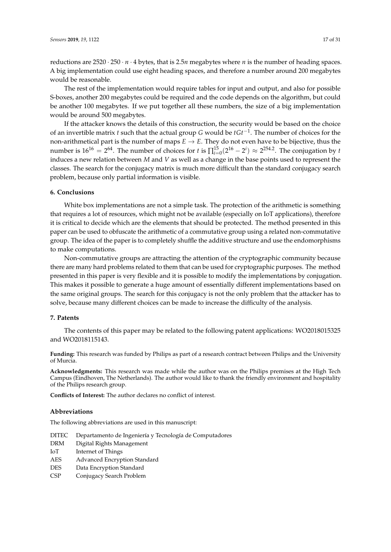reductions are 2520 · 250 · *n* · 4 bytes, that is 2.5*n* megabytes where *n* is the number of heading spaces. A big implementation could use eight heading spaces, and therefore a number around 200 megabytes would be reasonable.

The rest of the implementation would require tables for input and output, and also for possible S-boxes, another 200 megabytes could be required and the code depends on the algorithm, but could be another 100 megabytes. If we put together all these numbers, the size of a big implementation would be around 500 megabytes.

If the attacker knows the details of this construction, the security would be based on the choice of an invertible matrix *t* such that the actual group *G* would be *tGt*−<sup>1</sup> . The number of choices for the non-arithmetical part is the number of maps  $E \to E$ . They do not even have to be bijective, thus the number is  $16^{16} = 2^{64}$ . The number of choices for *t* is  $\prod_{i=0}^{15} (2^{16} - 2^i) \approx 2^{254.2}$ . The conjugation by *t* induces a new relation between *M* and *V* as well as a change in the base points used to represent the classes. The search for the conjugacy matrix is much more difficult than the standard conjugacy search problem, because only partial information is visible.

## <span id="page-16-0"></span>**6. Conclusions**

White box implementations are not a simple task. The protection of the arithmetic is something that requires a lot of resources, which might not be available (especially on IoT applications), therefore it is critical to decide which are the elements that should be protected. The method presented in this paper can be used to obfuscate the arithmetic of a commutative group using a related non-commutative group. The idea of the paper is to completely shuffle the additive structure and use the endomorphisms to make computations.

Non-commutative groups are attracting the attention of the cryptographic community because there are many hard problems related to them that can be used for cryptographic purposes. The method presented in this paper is very flexible and it is possible to modify the implementations by conjugation. This makes it possible to generate a huge amount of essentially different implementations based on the same original groups. The search for this conjugacy is not the only problem that the attacker has to solve, because many different choices can be made to increase the difficulty of the analysis.

## <span id="page-16-1"></span>**7. Patents**

The contents of this paper may be related to the following patent applications: WO2018015325 and WO2018115143.

**Funding:** This research was funded by Philips as part of a research contract between Philips and the University of Murcia.

**Acknowledgments:** This research was made while the author was on the Philips premises at the High Tech Campus (Eindhoven, The Netherlands). The author would like to thank the friendly environment and hospitality of the Philips research group.

**Conflicts of Interest:** The author declares no conflict of interest.

## **Abbreviations**

The following abbreviations are used in this manuscript:

- DITEC Departamento de Ingeniería y Tecnología de Computadores
- DRM Digital Rights Management
- IoT Internet of Things
- AES Advanced Encryption Standard
- DES Data Encryption Standard
- CSP Conjugacy Search Problem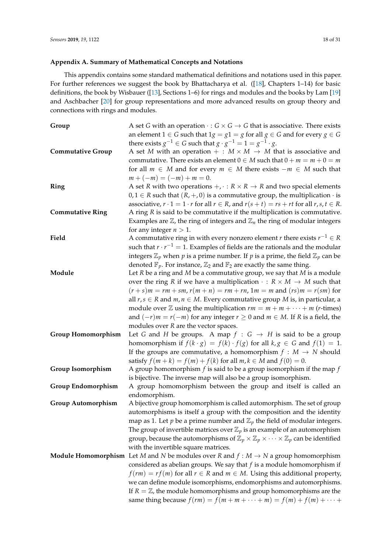<span id="page-17-0"></span>This appendix contains some standard mathematical definitions and notations used in this paper. For further references we suggest the book by Bhattacharya et al. ([\[18\]](#page-30-7), Chapters 1–14) for basic definitions, the book by Wisbauer ([\[13\]](#page-30-2), Sections 1–6) for rings and modules and the books by Lam [\[19\]](#page-30-8) and Aschbacher [\[20\]](#page-30-9) for group representations and more advanced results on group theory and connections with rings and modules.

| Group                     | A set G with an operation $\cdot : G \times G \rightarrow G$ that is associative. There exists                       |
|---------------------------|----------------------------------------------------------------------------------------------------------------------|
|                           | an element $1 \in G$ such that $1g = g1 = g$ for all $g \in G$ and for every $g \in G$                               |
|                           | there exists $g^{-1} \in G$ such that $g \cdot g^{-1} = 1 = g^{-1} \cdot g$ .                                        |
| <b>Commutative Group</b>  | A set M with an operation $+ : M \times M \rightarrow M$ that is associative and                                     |
|                           | commutative. There exists an element $0 \in M$ such that $0 + m = m + 0 = m$                                         |
|                           | for all $m \in M$ and for every $m \in M$ there exists $-m \in M$ such that                                          |
|                           | $m + (-m) = (-m) + m = 0.$                                                                                           |
| <b>Ring</b>               | A set R with two operations $+$ , $\cdot$ : $R \times R \rightarrow R$ and two special elements                      |
|                           | $0, 1 \in R$ such that $(R, +, 0)$ is a commutative group, the multiplication $\cdot$ is                             |
|                           | associative, $r \cdot 1 = 1 \cdot r$ for all $r \in R$ , and $r(s + t) = rs + rt$ for all $r, s, t \in R$ .          |
| <b>Commutative Ring</b>   | A ring $R$ is said to be commutative if the multiplication is commutative.                                           |
|                           | Examples are $\mathbb{Z}$ , the ring of integers and $\mathbb{Z}_n$ the ring of modular integers                     |
|                           | for any integer $n > 1$ .                                                                                            |
| Field                     | A commutative ring in with every nonzero element <i>r</i> there exists $r^{-1} \in R$                                |
|                           | such that $r \cdot r^{-1} = 1$ . Examples of fields are the rationals and the modular                                |
|                           |                                                                                                                      |
|                           | integers $\mathbb{Z}_p$ when p is a prime number. If p is a prime, the field $\mathbb{Z}_p$ can be                   |
| Module                    | denoted $\mathbb{F}_p$ . For instance, $\mathbb{Z}_2$ and $\mathbb{F}_2$ are exactly the same thing.                 |
|                           | Let $R$ be a ring and $M$ be a commutative group, we say that $M$ is a module                                        |
|                           | over the ring R if we have a multiplication $\cdot: R \times M \rightarrow M$ such that                              |
|                           | $(r + s)m = rm + sm, r(m + n) = rm + rn, 1m = m$ and $(rs)m = r(sm)$ for                                             |
|                           | all $r, s \in R$ and $m, n \in M$ . Every commutative group <i>M</i> is, in particular, a                            |
|                           | module over $\mathbb Z$ using the multiplication $rm = m + m + \cdots + m$ ( <i>r</i> -times)                        |
|                           | and $(-r)m = r(-m)$ for any integer $r \ge 0$ and $m \in M$ . If R is a field, the                                   |
|                           | modules over $R$ are the vector spaces.                                                                              |
| <b>Group Homomorphism</b> | Let G and H be groups. A map $f : G \rightarrow H$ is said to be a group                                             |
|                           | homomorphism if $f(k \cdot g) = f(k) \cdot f(g)$ for all $k, g \in G$ and $f(1) = 1$ .                               |
|                           | If the groups are commutative, a homomorphism $f : M \rightarrow N$ should                                           |
|                           | satisfy $f(m+k) = f(m) + f(k)$ for all $m, k \in M$ and $f(0) = 0$ .                                                 |
| Group Isomorphism         | A group homomorphism $f$ is said to be a group isomorphism if the map $f$                                            |
|                           | is bijective. The inverse map will also be a group isomorphism.                                                      |
| Group Endomorphism        | A group homomorphism between the group and itself is called an                                                       |
|                           | endomorphism.                                                                                                        |
| Group Automorphism        | A bijective group homomorphism is called automorphism. The set of group                                              |
|                           | automorphisms is itself a group with the composition and the identity                                                |
|                           | map as 1. Let <i>p</i> be a prime number and $\mathbb{Z}_p$ the field of modular integers.                           |
|                           | The group of invertible matrices over $\mathbb{Z}_p$ is an example of an automorphism                                |
|                           | group, because the automorphisms of $\mathbb{Z}_p\times\mathbb{Z}_p\times\cdots\times\mathbb{Z}_p$ can be identified |
|                           | with the invertible square matrices.                                                                                 |
|                           | <b>Module Homomorphism</b> Let <i>M</i> and <i>N</i> be modules over <i>R</i> and $f : M \to N$ a group homomorphism |
|                           | considered as abelian groups. We say that $f$ is a module homomorphism if                                            |
|                           | $f(rm) = rf(m)$ for all $r \in R$ and $m \in M$ . Using this additional property,                                    |
|                           | we can define module isomorphisms, endomorphisms and automorphisms.                                                  |
|                           | If $R = \mathbb{Z}$ , the module homomorphisms and group homomorphisms are the                                       |
|                           | same thing because $f(rm) = f(m + m + \dots + m) = f(m) + f(m) + \dots +$                                            |
|                           |                                                                                                                      |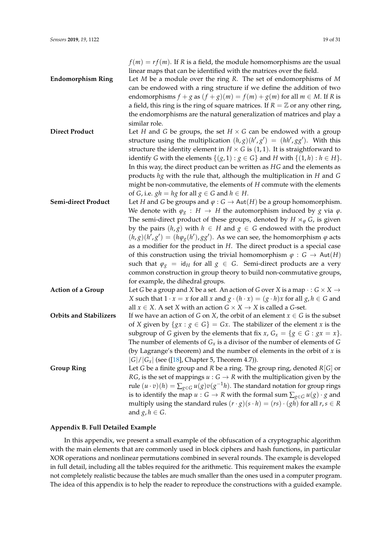| $f(m) = rf(m)$ . If R is a field, the module homomorphisms are the usual |
|--------------------------------------------------------------------------|
| linear maps that can be identified with the matrices over the field.     |

| <b>Endomorphism Ring</b> | Let $M$ be a module over the ring $R$ . The set of endomorphisms of $M$                   |
|--------------------------|-------------------------------------------------------------------------------------------|
|                          | can be endowed with a ring structure if we define the addition of two                     |
|                          | endomorphisms $f + g$ as $(f + g)(m) = f(m) + g(m)$ for all $m \in M$ . If R is           |
|                          | a field, this ring is the ring of square matrices. If $R = \mathbb{Z}$ or any other ring, |
|                          | the endomorphisms are the natural generalization of matrices and play a                   |
|                          | similar role.                                                                             |

- **Direct Product** Let *H* and *G* be groups, the set  $H \times G$  can be endowed with a group structure using the multiplication  $(h, g)(h', g') = (hh', gg')$ . With this structure the identity element in  $H \times G$  is (1, 1). It is straightforward to identify *G* with the elements  $\{(g, 1) : g \in G\}$  and *H* with  $\{(1, h) : h \in H\}$ . In this way, the direct product can be written as *HG* and the elements as products *hg* with the rule that, although the multiplication in *H* and *G* might be non-commutative, the elements of *H* commute with the elements of *G*, i.e.  $gh = hg$  for all  $g \in G$  and  $h \in H$ .
- **Semi-direct Product** Let *H* and *G* be groups and  $\varphi$  : *G*  $\rightarrow$  Aut(*H*) be a group homomorphism. We denote with  $\varphi_{g} : H \to H$  the automorphism induced by *g* via  $\varphi$ . The semi-direct product of these groups, denoted by  $H \rtimes_{\varphi} G$ , is given by the pairs  $(h, g)$  with  $h \in H$  and  $g \in G$  endowed with the product  $(h, g)(h', g') = (h\varphi_g(h'), gg')$ . As we can see, the homomorphism  $\varphi$  acts as a modifier for the product in *H*. The direct product is a special case of this construction using the trivial homomorphism  $\varphi : G \to Aut(H)$ such that  $\varphi_{g}$  = id<sub>H</sub> for all  $g \in G$ . Semi-direct products are a very common construction in group theory to build non-commutative groups, for example, the dihedral groups. **Action of a Group** Let *G* be a group and *X* be a set. An action of *G* over *X* is a map  $\cdot$  :  $G \times X \rightarrow$ *X* such that  $1 \cdot x = x$  for all *x* and  $g \cdot (h \cdot x) = (g \cdot h)x$  for all  $g, h \in G$  and
- all  $x \in X$ . A set *X* with an action  $G \times X \rightarrow X$  is called a *G*-set. **Orbits and Stabilizers** If we have an action of *G* on *X*, the orbit of an element  $x \in G$  is the subset of *X* given by  $\{gx : g \in G\} = Gx$ . The stabilizer of the element *x* is the subgroup of *G* given by the elements that fix  $x$ ,  $G_x = \{g \in G : gx = x\}$ . The number of elements of  $G_x$  is a divisor of the number of elements of  $G$ (by Lagrange's theorem) and the number of elements in the orbit of *x* is |*G*|/|*Gx*| (see ([\[18\]](#page-30-7), Chapter 5, Theorem 4.7)).
- **Group Ring** Let *G* be a finite group and *R* be a ring. The group ring, denoted *R*[*G*] or *RG*, is the set of mappings  $u : G \to R$  with the multiplication given by the rule  $(u \cdot v)(h) = \sum_{g \in G} u(g) v(g^{-1}h)$ . The standard notation for group rings is to identify the map  $u : G \to R$  with the formal sum  $\sum_{g \in G} u(g) \cdot g$  and multiply using the standard rules  $(r \cdot g)(s \cdot h) = (rs) \cdot (gh)$  for all  $r, s \in R$ and  $g, h \in G$ .

# <span id="page-18-0"></span>**Appendix B. Full Detailed Example**

In this appendix, we present a small example of the obfuscation of a cryptographic algorithm with the main elements that are commonly used in block ciphers and hash functions, in particular XOR operations and nonlinear permutations combined in several rounds. The example is developed in full detail, including all the tables required for the arithmetic. This requirement makes the example not completely realistic because the tables are much smaller than the ones used in a computer program. The idea of this appendix is to help the reader to reproduce the constructions with a guided example.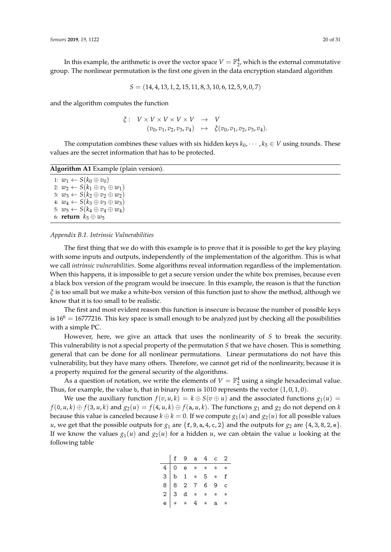In this example, the arithmetic is over the vector space  $V=\mathbb{F}_2^4$ , which is the external commutative group. The nonlinear permutation is the first one given in the data encryption standard algorithm

$$
S = (14, 4, 13, 1, 2, 15, 11, 8, 3, 10, 6, 12, 5, 9, 0, 7)
$$

and the algorithm computes the function

$$
\begin{array}{rcl}\n\xi: & V \times V \times V \times V \times V \rightarrow V \\
(v_0, v_1, v_2, v_3, v_4) & \mapsto \xi(v_0, v_1, v_2, v_3, v_4).\n\end{array}
$$

The computation combines these values with six hidden keys  $k_0, \dots, k_5 \in V$  using rounds. These values are the secret information that has to be protected.

| <b>Algorithm A1</b> Example (plain version).     |  |  |  |  |  |  |  |  |  |  |
|--------------------------------------------------|--|--|--|--|--|--|--|--|--|--|
| 1: $w_1 \leftarrow S(k_0 \oplus v_0)$            |  |  |  |  |  |  |  |  |  |  |
| 2: $w_2 \leftarrow S(k_1 \oplus v_1 \oplus w_1)$ |  |  |  |  |  |  |  |  |  |  |
| 3: $w_3 \leftarrow S(k_2 \oplus v_2 \oplus w_2)$ |  |  |  |  |  |  |  |  |  |  |
| 4: $w_4 \leftarrow S(k_3 \oplus v_3 \oplus w_3)$ |  |  |  |  |  |  |  |  |  |  |
| 5: $w_5 \leftarrow S(k_4 \oplus v_4 \oplus w_4)$ |  |  |  |  |  |  |  |  |  |  |
| 6: <b>return</b> $k_5 \oplus w_5$                |  |  |  |  |  |  |  |  |  |  |
|                                                  |  |  |  |  |  |  |  |  |  |  |

## <span id="page-19-1"></span><span id="page-19-0"></span>*Appendix B.1. Intrinsic Vulnerabilities*

The first thing that we do with this example is to prove that it is possible to get the key playing with some inputs and outputs, independently of the implementation of the algorithm. This is what we call *intrinsic vulnerabilities*. Some algorithms reveal information regardless of the implementation. When this happens, it is impossible to get a secure version under the white box premises, because even a black box version of the program would be insecure. In this example, the reason is that the function *ξ* is too small but we make a white-box version of this function just to show the method, although we know that it is too small to be realistic.

The first and most evident reason this function is insecure is because the number of possible keys is  $16<sup>6</sup> = 16777216$ . This key space is small enough to be analyzed just by checking all the possibilities with a simple PC.

However, here, we give an attack that uses the nonlinearity of *S* to break the security. This vulnerability is not a special property of the permutation *S* that we have chosen. This is something general that can be done for all nonlinear permutations. Linear permutations do not have this vulnerability, but they have many others. Therefore, we cannot get rid of the nonlinearity, because it is a property required for the general security of the algorithms.

As a question of notation, we write the elements of  $V = \mathbb{F}_2^4$  using a single hexadecimal value. Thus, for example, the value b, that in binary form is 1010 represents the vector  $(1,0,1,0)$ .

We use the auxiliary function  $f(v, u, k) = k \oplus S(v \oplus u)$  and the associated functions  $g_1(u) =$  $f(0, u, k) \oplus f(3, u, k)$  and  $g_2(u) = f(4, u, k) \oplus f(a, u, k)$ . The functions  $g_1$  and  $g_2$  do not depend on *k* because this value is canceled because  $k \oplus k = 0$ . If we compute  $g_1(u)$  and  $g_2(u)$  for all possible values *u*, we get that the possible outputs for  $g_1$  are  $\{f, 9, a, 4, c, 2\}$  and the outputs for  $g_2$  are  $\{4, 3, 8, 2, e\}$ . If we know the values  $g_1(u)$  and  $g_2(u)$  for a hidden  $u$ , we can obtain the value  $u$  looking at the following table

|  | $f$ 9 a 4 c 2 |  |  |
|--|---------------|--|--|
|  |               |  |  |
|  |               |  |  |
|  |               |  |  |
|  |               |  |  |
|  |               |  |  |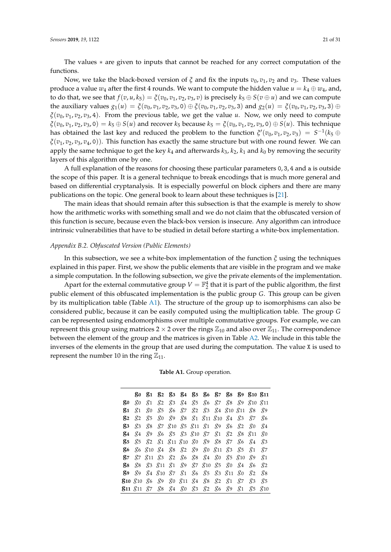The values ∗ are given to inputs that cannot be reached for any correct computation of the functions.

Now, we take the black-boxed version of *ξ* and fix the inputs *v*0, *v*1, *v*<sup>2</sup> and *v*3. These values produce a value  $w_4$  after the first 4 rounds. We want to compute the hidden value  $u = k_4 \oplus w_4$ , and, to do that, we see that  $f(v, u, k_5) = \xi(v_0, v_1, v_2, v_3, v)$  is precisely  $k_5 \oplus S(v \oplus u)$  and we can compute the auxiliary values  $g_1(u) = \xi(v_0, v_1, v_2, v_3, 0) \oplus \xi(v_0, v_1, v_2, v_3, 3)$  and  $g_2(u) = \xi(v_0, v_1, v_2, v_3, 3) \oplus \xi(v_0, v_1, v_2, v_3, 3)$ *ξ*(*v*0, *v*1, *v*2, *v*3, 4). From the previous table, we get the value *u*. Now, we only need to compute  $\zeta(v_0, v_1, v_2, v_3, 0) = k_5 \oplus S(u)$  and recover  $k_5$  because  $k_5 = \zeta(v_0, v_1, v_2, v_3, 0) \oplus S(u)$ . This technique has obtained the last key and reduced the problem to the function  $\zeta'(v_0,v_1,v_2,v_3) = S^{-1}(k_5 \oplus$ *ξ*(*v*1, *v*2, *v*3, *v*4, 0)). This function has exactly the same structure but with one round fewer. We can apply the same technique to get the key  $k_4$  and afterwards  $k_3$ ,  $k_2$ ,  $k_1$  and  $k_0$  by removing the security layers of this algorithm one by one.

A full explanation of the reasons for choosing these particular parameters 0, 3, 4 and a is outside the scope of this paper. It is a general technique to break encodings that is much more general and based on differential cryptanalysis. It is especially powerful on block ciphers and there are many publications on the topic. One general book to learn about these techniques is [\[21\]](#page-30-10).

The main ideas that should remain after this subsection is that the example is merely to show how the arithmetic works with something small and we do not claim that the obfuscated version of this function is secure, because even the black-box version is insecure. Any algorithm can introduce intrinsic vulnerabilities that have to be studied in detail before starting a white-box implementation.

#### *Appendix B.2. Obfuscated Version (Public Elements)*

In this subsection, we see a white-box implementation of the function *ξ* using the techniques explained in this paper. First, we show the public elements that are visible in the program and we make a simple computation. In the following subsection, we give the private elements of the implementation.

Apart for the external commutative group  $V = \mathbb{F}_2^4$  that it is part of the public algorithm, the first public element of this obfuscated implementation is the public group *G*. This group can be given by its multiplication table (Table [A1\)](#page-20-0). The structure of the group up to isomorphisms can also be considered public, because it can be easily computed using the multiplication table. The group *G* can be represented using endomorphisms over multiple commutative groups. For example, we can represent this group using matrices  $2 \times 2$  over the rings  $\mathbb{Z}_{10}$  and also over  $\mathbb{Z}_{11}$ . The correspondence between the element of the group and the matrices is given in Table [A2.](#page-21-0) We include in this table the inverses of the elements in the group that are used during the computation. The value X is used to represent the number 10 in the ring  $\mathbb{Z}_{11}$ .

**Table A1.** Group operation.

<span id="page-20-0"></span>**g<sup>0</sup> g<sup>1</sup> g<sup>2</sup> g<sup>3</sup> g<sup>4</sup> g<sup>5</sup> g<sup>6</sup> g<sup>7</sup> g<sup>8</sup> g<sup>9</sup> g<sup>10</sup> g<sup>11</sup> g<sup>0</sup>** *g*<sup>0</sup> *g*<sup>1</sup> *g*<sup>2</sup> *g*<sup>3</sup> *g*<sup>4</sup> *g*<sup>5</sup> *g*<sup>6</sup> *g*<sup>7</sup> *g*<sup>8</sup> *g*<sup>9</sup> *g*<sup>10</sup> *g*<sup>11</sup> **g<sup>1</sup>** *g*<sup>1</sup> *g*<sup>0</sup> *g*<sup>5</sup> *g*<sup>6</sup> *g*<sup>7</sup> *g*<sup>2</sup> *g*<sup>3</sup> *g*<sup>4</sup> *g*<sup>10</sup> *g*<sup>11</sup> *g*<sup>8</sup> *g*<sup>9</sup> **g<sup>2</sup>** *g*<sup>2</sup> *g*<sup>5</sup> *g*<sup>0</sup> *g*<sup>9</sup> *g*<sup>8</sup> *g*<sup>1</sup> *g*<sup>11</sup> *g*<sup>10</sup> *g*<sup>4</sup> *g*<sup>3</sup> *g*<sup>7</sup> *g*<sup>6</sup> **g<sup>3</sup>** *g*<sup>3</sup> *g*<sup>8</sup> *g*<sup>7</sup> *g*<sup>10</sup> *g*<sup>5</sup> *g*<sup>11</sup> *g*<sup>1</sup> *g*<sup>9</sup> *g*<sup>6</sup> *g*<sup>2</sup> *g*<sup>0</sup> *g*<sup>4</sup> **g<sup>4</sup>** *g*<sup>4</sup> *g*<sup>9</sup> *g*<sup>6</sup> *g*<sup>5</sup> *g*<sup>3</sup> *g*<sup>10</sup> *g*<sup>7</sup> *g*<sup>1</sup> *g*<sup>2</sup> *g*<sup>8</sup> *g*<sup>11</sup> *g*<sup>0</sup> **g<sup>5</sup>** *g*<sup>5</sup> *g*<sup>2</sup> *g*<sup>1</sup> *g*<sup>11</sup> *g*<sup>10</sup> *g*<sup>0</sup> *g*<sup>9</sup> *g*<sup>8</sup> *g*<sup>7</sup> *g*<sup>6</sup> *g*<sup>4</sup> *g*<sup>3</sup> **g<sup>6</sup>** *g*<sup>6</sup> *g*<sup>10</sup> *g*<sup>4</sup> *g*<sup>8</sup> *g*<sup>2</sup> *g*<sup>9</sup> *g*<sup>0</sup> *g*<sup>11</sup> *g*<sup>3</sup> *g*<sup>5</sup> *g*<sup>1</sup> *g*<sup>7</sup> **g<sup>7</sup>** *g*<sup>7</sup> *g*<sup>11</sup> *g*<sup>3</sup> *g*<sup>2</sup> *g*<sup>6</sup> *g*<sup>8</sup> *g*<sup>4</sup> *g*<sup>0</sup> *g*<sup>5</sup> *g*<sup>10</sup> *g*<sup>9</sup> *g*<sup>1</sup> **g<sup>8</sup>** *g*<sup>8</sup> *g*<sup>3</sup> *g*<sup>11</sup> *g*<sup>1</sup> *g*<sup>9</sup> *g*<sup>7</sup> *g*<sup>10</sup> *g*<sup>5</sup> *g*<sup>0</sup> *g*<sup>4</sup> *g*<sup>6</sup> *g*<sup>2</sup> **g<sup>9</sup>** *g*<sup>9</sup> *g*<sup>4</sup> *g*<sup>10</sup> *g*<sup>7</sup> *g*<sup>1</sup> *g*<sup>6</sup> *g*<sup>5</sup> *g*<sup>3</sup> *g*<sup>11</sup> *g*<sup>0</sup> *g*<sup>2</sup> *g*<sup>8</sup> **g<sup>10</sup>** *g*<sup>10</sup> *g*<sup>6</sup> *g*<sup>9</sup> *g*<sup>0</sup> *g*<sup>11</sup> *g*<sup>4</sup> *g*<sup>8</sup> *g*<sup>2</sup> *g*<sup>1</sup> *g*<sup>7</sup> *g*<sup>3</sup> *g*<sup>5</sup> **g<sup>11</sup>** *g*<sup>11</sup> *g*<sup>7</sup> *g*<sup>8</sup> *g*<sup>4</sup> *g*<sup>0</sup> *g*<sup>3</sup> *g*<sup>2</sup> *g*<sup>6</sup> *g*<sup>9</sup> *g*<sup>1</sup> *g*<sup>5</sup> *g*<sup>10</sup>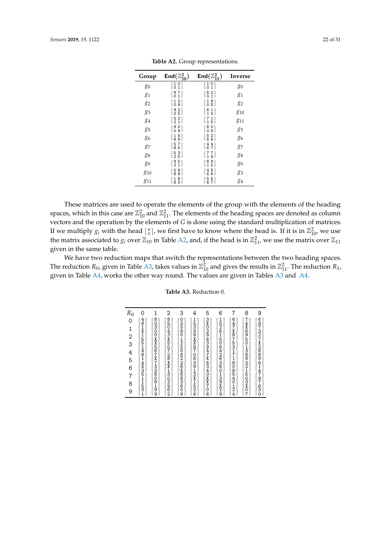<span id="page-21-0"></span>

| Group          | End $(\mathbb{Z}_{10}^2)$                                           | End $(\mathbb{Z}_{11}^2)$                                                    | Inverse        |
|----------------|---------------------------------------------------------------------|------------------------------------------------------------------------------|----------------|
| 80             | $\left[\begin{smallmatrix} 1 & 0 \ 0 & 1 \end{smallmatrix}\right]$  | $\left[\begin{smallmatrix} 1 & 0 \\ 0 & 1 \end{smallmatrix}\right]$          | 80             |
| $g_1$          | $\left[\begin{smallmatrix} 9 & 7 \\ 0 & 1 \end{smallmatrix}\right]$ | $\left[\begin{smallmatrix} X & 2 \\ 0 & 1 \end{smallmatrix}\right]$          | 81             |
| g <sub>2</sub> | $\left[\begin{smallmatrix} 1 & 3 \\ 0 & 9 \end{smallmatrix}\right]$ | $\left[\begin{smallmatrix} 1 & 9 \\ 0 & \texttt{X} \end{smallmatrix}\right]$ | g <sub>2</sub> |
| $g_3$          | $\left[\begin{smallmatrix} 9 & 2 \\ 2 & 5 \end{smallmatrix}\right]$ | $\left[\begin{smallmatrix} 6 & 1 \\ 1 & 4 \end{smallmatrix}\right]$          | 810            |
| $g_4$          | $\left[\begin{smallmatrix} 5 & 2 \\ 2 & 1 \end{smallmatrix}\right]$ | $\begin{bmatrix} 7 & 1 \\ 1 & 5 \end{bmatrix}$                               | 811            |
| 85             | $\left[\begin{smallmatrix} 9 & 0 \\ 0 & 9 \end{smallmatrix}\right]$ | $\left[\begin{smallmatrix} X & 0 \\ 0 & X \end{smallmatrix}\right]$          | 85             |
| 86             | $\left[\begin{smallmatrix} 1 & 5 \\ 8 & 9 \end{smallmatrix}\right]$ | $\left[\begin{smallmatrix} 5 & 2 \\ X & 6 \end{smallmatrix}\right]$          | 86             |
| 87             | $\left[\begin{smallmatrix} 5 & 7 \\ 8 & 5 \end{smallmatrix}\right]$ | $\left[\begin{smallmatrix} 4 & 4 \\ 8 & 7 \end{smallmatrix}\right]$          | 87             |
| 88             | $\left[\begin{smallmatrix} 5 & 3 \\ 2 & 5 \end{smallmatrix}\right]$ | $\begin{bmatrix} 7 & 7 \\ 1 & 4 \end{bmatrix}$                               | 88             |
| 89             | $\left[\begin{smallmatrix} 9 & 5 \\ 2 & 1 \end{smallmatrix}\right]$ | $\left[\begin{smallmatrix} 6 & 9 \\ 1 & 5 \end{smallmatrix}\right]$          | 89             |
| $g_{10}$       | $\left[\begin{smallmatrix} 5 & 8 \\ 8 & 9 \end{smallmatrix}\right]$ | $\left[\begin{smallmatrix} 4 & X \\ X & 6 \end{smallmatrix}\right]$          | 83             |
| 811            | $\left[\begin{smallmatrix} 1 & 8 \ 8 & 5 \end{smallmatrix}\right]$  | $\left[\begin{smallmatrix} 5 & X \\ X & 7 \end{smallmatrix}\right]$          | 84             |
|                |                                                                     |                                                                              |                |

**Table A2.** Group representations.

These matrices are used to operate the elements of the group with the elements of the heading spaces, which in this case are  $\mathbb{Z}_{10}^2$  and  $\mathbb{Z}_{11}^2$ . The elements of the heading spaces are denoted as column vectors and the operation by the elements of *G* is done using the standard multiplication of matrices. If we multiply  $g_i$  with the head  $\left[\begin{array}{c} u \\ v \end{array}\right]$ , we first have to know where the head is. If it is in  $\mathbb{Z}_{10}^2$ , we use the matrix associated to  $g_i$  over  $\mathbb{Z}_{10}$  in Table [A2,](#page-21-0) and, if the head is in  $\mathbb{Z}_{11}^2$ , we use the matrix over  $\mathbb{Z}_{11}$ given in the same table.

<span id="page-21-1"></span>We have two reduction maps that switch the representations between the two heading spaces. The reduction  $R_0$ , given in Table [A3,](#page-21-1) takes values in  $\mathbb{Z}_{10}^2$  and gives the results in  $\mathbb{Z}_{11}^2$ . The reduction  $R_1$ , given in Table [A4,](#page-22-0) works the other way round. The values are given in Tables [A3](#page-21-1) and [A4.](#page-22-0)

|  |  | <b>Table A3.</b> Reduction 0. |  |
|--|--|-------------------------------|--|
|  |  |                               |  |
|  |  |                               |  |
|  |  |                               |  |
|  |  |                               |  |

| $_{R_0}$     | 0              | 1                | 2                 | 3                   | 4                  | 5          | 6                | 7                  | 8             | 9           |
|--------------|----------------|------------------|-------------------|---------------------|--------------------|------------|------------------|--------------------|---------------|-------------|
| 0            | $\frac{4}{8}$  | 80               | 8<br>5            | 0<br>3              | $\frac{1}{5}$      | 3<br>X     | $\frac{1}{5}$    | 6                  |               | 6<br>9      |
| 1            | ī<br>X         | З<br>О           | Ō                 | 5<br>8              | З<br>9             | ö          | 2<br>6           | $\frac{4}{7}$<br>X | $\frac{4}{x}$ | 732<br>7    |
| $\mathbf{2}$ | Ĩ<br>5         | Ō                | $\frac{4}{3}$     | Ō                   | ğ,<br>X            | З<br>9     | 1<br>5<br>0      | 8<br>7             | 6950          |             |
| 3            | 5              | XX567            | 5<br>Ò            | $\frac{1}{2}$       | X<br>$\frac{8}{7}$ |            |                  | 5<br>3<br>1<br>7   |               | X<br>200000 |
| 4            | 14814          |                  | 7<br>28<br>X      | Ō                   |                    |            | 642636           |                    | 138932        |             |
| 5            |                | Х<br>7           |                   | 8226                | 0<br>3             |            |                  | i<br>8             |               |             |
| 6            | X 35<br>5<br>1 | 3<br>0<br>0<br>0 | Χ<br>$\mathbf{1}$ | X                   | ğ<br>$\mathbf{1}$  | 63947X6340 |                  | 0<br>8<br>5<br>4   |               |             |
| 7            |                |                  | 3<br>0            | რ<br>8              | 3<br>X             | X          | 0<br>1<br>3<br>9 |                    | $\frac{1}{5}$ | 14797       |
| 8            | ī<br>5         | 8<br>Ï.          | 2<br>9            | 3<br>$\overline{6}$ | $\frac{1}{5}$      | X<br>7     | X                | 0<br>$\mathbf{1}$  | 3<br>X        | 6           |
| 9            | $\frac{5}{1}$  | <u>5</u><br>9    | $\frac{6}{2}$     | 0<br>9              | ž<br>6             | 0<br>6     | 2<br>9           | 2<br>4             | 0<br>Ź        | 3<br>0      |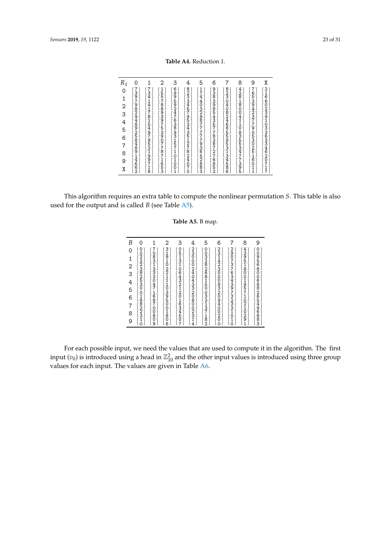**Table A4.** Reduction 1.

<span id="page-22-0"></span>

| $R_1$        | 0                  | 1                   | 2      | 3                 | 4                  | 5                  | 6                   | 7             | 8                  | 9                   | Χ                                                      |
|--------------|--------------------|---------------------|--------|-------------------|--------------------|--------------------|---------------------|---------------|--------------------|---------------------|--------------------------------------------------------|
| 0            | $\frac{7}{3}$      | 3                   | 1<br>5 | 6<br>9            | 8<br>$\frac{2}{3}$ | 1<br>7             | 9<br>3              | $\frac{8}{2}$ | $\frac{4}{2}$      | 7<br>6              | $\frac{2}{1}$                                          |
| $\mathbf{1}$ | $\frac{5}{7}$      | 4                   | 5<br>7 | 9<br>5            | 3                  | 4<br>4             | 8<br>3              | 3<br>0        | 8                  | 5<br>З              | ලි<br>6                                                |
| 2            | $\frac{9}{8}$      | 4                   | 8<br>8 | 9<br>2            | 4<br>5             | 0<br>3             | 9<br>8              | 4<br>0        | 8<br>0             | 9<br>4              | Ō<br>2                                                 |
| 3            | 2<br>9             | 8                   | ğ<br>З | $\frac{4}{7}$     | 7<br>9<br>5        | 2<br>9<br>8        | 5                   | $\frac{8}{2}$ | 0<br>4             | 2<br>3<br>7         | $\begin{array}{c}\n3 \\ 9 \\ 1 \\ 0 \\ 3\n\end{array}$ |
| 4            | $\frac{4}{8}$<br>2 | $\frac{1}{5}$       | 9<br>7 | 6<br>š            |                    | 7                  | 4357                | 4685          | 1<br>$\frac{1}{0}$ | 7                   |                                                        |
| 5            |                    | 9                   | 5<br>3 | 9                 | 3<br>3<br>3        | 7<br>7             | 7                   |               | 8                  | 9<br>0              |                                                        |
| 6            | 5<br>8             | 7<br>9              | 9<br>0 | 3<br>$\mathbf{1}$ | 5                  | 7<br>7             | 8<br>$\overline{3}$ | 5953          | 3553               | 5<br>3              | 6<br>3<br>3                                            |
| 7            | $\frac{1}{8}$      | 5<br>$\overline{2}$ | 7      | 5<br>7            | 2<br>7             | 9                  | 7                   |               |                    | 0<br>$\overline{2}$ |                                                        |
| 8            | 9<br>1             | 1<br>9              | 8<br>Ź | 1<br>$\mathbf 0$  | 8                  | ვ<br>5             | .<br>7              | 1345          | $\frac{4}{7}$      | 5                   | $\frac{4}{6}$                                          |
| 9            | 4<br>6             | 9<br>7              | 6      | 1<br>0            | $\frac{2}{4}$      | 2<br>$\frac{8}{8}$ | 6<br>8              |               | 7<br>3             | 6<br>$\Omega$       | ō<br>7                                                 |
| Χ            | $\frac{6}{2}$      | 8                   | 5<br>3 | 0                 | 0                  | 3                  | 5<br>$\overline{2}$ | Š<br>6        | 9<br>5             |                     | $\frac{1}{7}$                                          |

<span id="page-22-1"></span>This algorithm requires an extra table to compute the nonlinear permutation *S*. This table is also used for the output and is called *B* (see Table [A5\)](#page-22-1).

**Table A5.** B map.

| В | 0                  |            | 2                       | 3             | 4           | 5                   | 6             | 7                        | 8           | 9                  |
|---|--------------------|------------|-------------------------|---------------|-------------|---------------------|---------------|--------------------------|-------------|--------------------|
| 0 | $^{\circ}_{\circ}$ | 0          | 3                       |               | 2<br>3<br>0 |                     | 2<br>3<br>1   | 2<br>90                  |             |                    |
| 1 |                    |            | ر<br>9<br>$\frac{1}{0}$ |               | Ŏ           |                     |               | 7                        |             |                    |
| 2 | <b>DOODDOODDOO</b> | 831333047  |                         | 0513106432120 |             | 00328268150033137   | 4230000       | .<br>7                   | 43951800    | 009568006882654968 |
| 3 |                    |            |                         |               |             |                     |               |                          |             |                    |
| 4 |                    |            | 221110                  |               |             |                     |               | 634397                   | 1957        |                    |
| 5 |                    |            |                         |               | 2404332080  |                     | 8320          |                          |             |                    |
| 6 |                    | <b>687</b> | 39<br>5<br>5<br>0       |               |             |                     | 9<br>4        | ვაავ                     | i<br>Ö      |                    |
| 7 | 188223             | 0          | 0                       | 16345         |             |                     | 0             |                          | 2<br>1      |                    |
| 8 |                    | Ŏ<br>8     | $\frac{1}{8}$           |               | 0231        |                     | Ō<br>2        | to                       | Ō<br>З<br>9 |                    |
| 9 | $\frac{1}{0}$      | 0<br>9     | 0<br>6                  | 0<br>7        | 4           | 8<br>$\overline{2}$ | ō<br>$\Omega$ | $\mathbf{1}$<br>$\Omega$ |             | ğ<br>3             |

For each possible input, we need the values that are used to compute it in the algorithm. The first input  $(v_0)$  is introduced using a head in  $\mathbb{Z}_{10}^2$  and the other input values is introduced using three group values for each input. The values are given in Table [A6.](#page-23-0)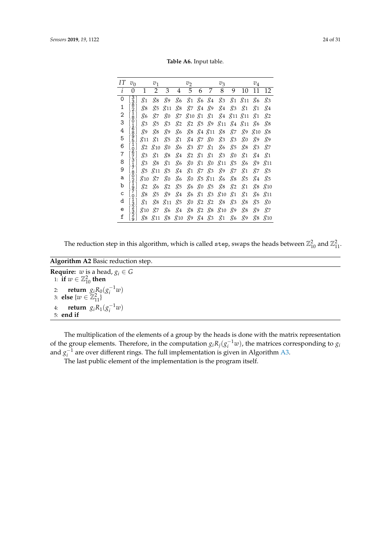**Table A6.** Input table.

<span id="page-23-0"></span>

| IТ | $v_0$                                  |          | v <sub>1</sub> |          |          | $v_2$    |       |        | $v_3$    |     |          | $\overline{v}_4$ |          |
|----|----------------------------------------|----------|----------------|----------|----------|----------|-------|--------|----------|-----|----------|------------------|----------|
| i  | 0                                      | 1        | 2              | 3        | 4        | 5        | 6     | 7      | 8        | 9   | 10       | 11               | 12       |
| 0  | 3<br>3                                 | 81       | 88             | 89       | 86       | $g_1$    | 86    | 84     | 83       | 81  | $g_{11}$ | 86               | 83       |
| 1  | 8<br>2                                 | 88       | 85             | $g_{11}$ | 88       | 87       | 84    | 89     | 84       | 83  | 81       | 81               | 84       |
| 2  | $\frac{1}{8}$                          | 86       | 87             | $g_0$    | 87       | $g_{10}$ | $g_1$ | $g_1$  | 84       | 811 | $g_{11}$ | $g_1$            | 82       |
| 3  | $\begin{bmatrix} 0 \\ 1 \end{bmatrix}$ | 83       | 85             | 83       | 82       | 82       | 85    | 89     | 811      | 84  | $g_{11}$ | 86               | 88       |
| 4  | ნ<br>8                                 | 89       | 88             | 89       | 86       | 88       |       | 84 811 | 88       | 87  | 89       | $g_{10}$         | 88       |
| 5  | ğ<br>5                                 | 811      | 81             | 85       | 81       | 84       | 87    | $g_0$  | $g_3$    | 83  | 80       | 89               | 89       |
| 6  | $\frac{1}{0}$                          | 82       | $g_{10}$       | $g_0$    | 86       | 83       | 87    | 81     | 86       | 85  | 88       | 83               | 87       |
| 7  | $\frac{6}{7}$                          | 83       | 81             | 88       | 84       | 82       | 81    | 81     | $g_3$    | 80  | 81       | 84               | $g_1$    |
| 8  | 3<br>1                                 | 83       | 88             | 81       | 86       | 80       | 81    | 80     | 811      | 85  | 86       | 89               | 811      |
| 9  |                                        | 85       | $g_{11}$       | 85       | 84       | 81       | 87    | $g_3$  | 89       | 87  | 81       | 87               | 85       |
| a  | $\frac{0}{2}$                          | $g_{10}$ | 87             | 80       | 86       | 80       |       | 85 811 | 86       | 88  | 85       | 84               | 85       |
| b  | $\frac{1}{9}$                          | 82       | 86             | 82       | 85       | 86       | 80    | 85     | 88       | 82  | 81       | 88               | $g_{10}$ |
| с  |                                        | 88       | 85             | 89       | 84       | 86       | 81    | 83     | $g_{10}$ | 81  | 81       | 86               | 811      |
| d  | $\frac{1}{3}$                          | 81       | 88             | 811      | 85       | 80       | 82    | 82     | 88       | 83  | 88       | 85               | $g_0$    |
| е  | 2<br>3                                 | $g_{10}$ | 87             | 86       | 84       | 88       | 82    | 88     | $g_{10}$ | 89  | 88       | 89               | 87       |
| f  |                                        | 88       | 811            | 88       | $g_{10}$ | 89       | 84    | 83     | 81       | 86  | 89       | 88               | $g_{10}$ |

The reduction step in this algorithm, which is called step, swaps the heads between  $\mathbb{Z}_{10}^2$  and  $\mathbb{Z}_{11}^2$ .

```
Algorithm A2 Basic reduction step.
Require: w is a head, g_i \in G1: if w \in \mathbb{Z}_{10}^2 then
  2: return g_i R_0 (g_i^{-1} w)3: else {w \in \mathbb{Z}_{11}^2}
  4: return g_i R_1 (g_i^{-1} w)5: end if
```
The multiplication of the elements of a group by the heads is done with the matrix representation of the group elements. Therefore, in the computation  $g_iR_j(g_i^{-1}w)$ , the matrices corresponding to  $g_i$ and  $g_i^{-1}$  are over different rings. The full implementation is given in Algorithm [A3.](#page-24-0)

The last public element of the implementation is the program itself.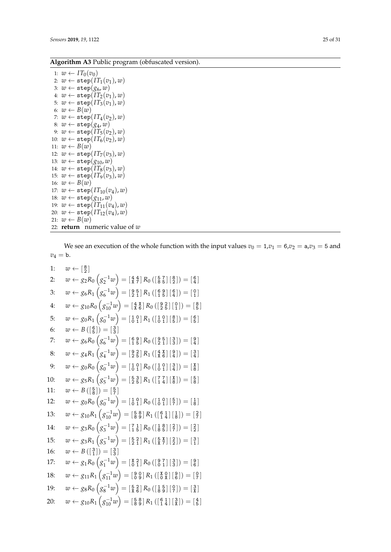**Algorithm A3** Public program (obfuscated version).

1:  $w \leftarrow IT_0(v_0)$ 2:  $w \leftarrow \texttt{step}(IT_1(v_1), w)$ 3:  $w \leftarrow \texttt{step}(g_6, w)$ 4:  $w \leftarrow \texttt{step}(IT_2(v_1), w)$ 5:  $w \leftarrow \text{step}(IT_3(v_1), w)$ 6:  $w \leftarrow B(w)$ 7:  $w \leftarrow \mathtt{step}(IT_4(v_2), w)$ 8:  $w \leftarrow \texttt{step}(g_4, w)$ 9:  $w \leftarrow \texttt{step}(IT_5(v_2), w)$ 10:  $w \leftarrow \texttt{step}(IT_6(v_2), w)$ 11:  $w \leftarrow B(w)$ 12:  $w \leftarrow \texttt{step}(IT_7(v_3), w)$ 13:  $w \leftarrow \texttt{step}(g_{10}, w)$ 14:  $w \leftarrow \texttt{step}(IT_8(v_3), w)$ 15:  $w \leftarrow \texttt{step}(IT_9(v_3), w)$ 16:  $w \leftarrow B(w)$ 17:  $w \leftarrow \text{step}(IT_{10}(v_4), w)$ 18:  $w \leftarrow \text{step}(g_{11}, w)$ 19:  $w \leftarrow \text{step}(IT_{11}(v_4), w)$ 20:  $w \leftarrow \texttt{step}(IT_{12}(v_4), w)$ 21:  $w \leftarrow B(w)$ 22: **return** numeric value of *w*

<span id="page-24-0"></span>We see an execution of the whole function with the input values  $v_0 = 1, v_1 = 6, v_2 = \mathsf{a}, v_3 = 5$  and  $v_4 = b$ .

1: 
$$
w \leftarrow \begin{bmatrix} 8 \\ 2 \end{bmatrix}
$$
  
\n2:  $w \leftarrow g_2 R_0 \left( g_2^{-1} w \right) = \begin{bmatrix} \frac{4}{3} & \frac{4}{7} \end{bmatrix} R_0 \left( \begin{bmatrix} 5 & 7 \\ 8 & 5 \end{bmatrix} \begin{bmatrix} 8 \\ 2 \end{bmatrix} \right) = \begin{bmatrix} 6 \\ 4 \end{bmatrix}$   
\n3:  $w \leftarrow g_6 R_1 \left( g_6^{-1} w \right) = \begin{bmatrix} 9 & 5 \\ 2 & 1 \end{bmatrix} R_1 \left( \begin{bmatrix} 6 & 9 \\ 1 & 6 \end{bmatrix} \begin{bmatrix} 6 \\ 1 \end{bmatrix} \right) = \begin{bmatrix} 9 \\ 1 \end{bmatrix}$   
\n4:  $w \leftarrow g_{10} R_0 \left( g_{10}^{-1} w \right) = \begin{bmatrix} \frac{4}{3} & \frac{8}{6} \\ \frac{8}{3} & \frac{8}{6} \end{bmatrix} R_0 \left( \begin{bmatrix} 9 & \frac{2}{3} \\ \frac{2}{3} & \frac{8}{3} \end{bmatrix} \right) = \begin{bmatrix} 8 \\ 8 \end{bmatrix}$   
\n5:  $w \leftarrow g_0 R_1 \left( g_0^{-1} w \right) = \begin{bmatrix} 1 & 0 & 0 \\ 0 & 1 & 1 \end{bmatrix} R_1 \left( \begin{bmatrix} 1 & 0 & 1 \\ 0 & 2 & 1 \end{bmatrix} \begin{bmatrix} 8 \\ 3 \end{bmatrix} \right) = \begin{bmatrix} 9 \\ 4 \end{bmatrix}$   
\n6:  $w \leftarrow g_6 R_0 \left( g_6^{-1} w \right) = \begin{bmatrix} 6 & 9 \\ 2 & 5 \end{bmatrix} R_0 \left( \begin{bmatrix} 9 & 5 \\ 2 & 1 \end{bmatrix} \begin{bmatrix} 3 \\ 3 \end{bmatrix} \right) = \begin{bmatrix} 9 \\ 4 \end{bmatrix}$   
\n7:  $w \leftarrow g_6 R_0 \left( g_0^{-1} w \right) = \begin{bmatrix} 1 & 0 & 0 \\ 0 & 1 & 1 \end{bmatrix} R_0 \left( \begin{bmatrix} 1 & 0 & 1 \\ 0 &$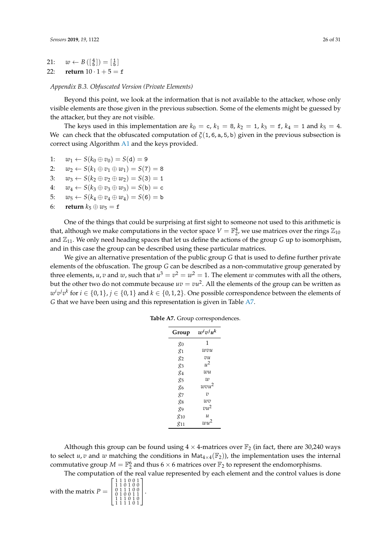21:  $w \leftarrow B([\frac{4}{5}]) = [\frac{1}{5}]$ 22: **return**  $10 \cdot 1 + 5 =$  f

## *Appendix B.3. Obfuscated Version (Private Elements)*

Beyond this point, we look at the information that is not available to the attacker, whose only visible elements are those given in the previous subsection. Some of the elements might be guessed by the attacker, but they are not visible.

The keys used in this implementation are  $k_0 = c$ ,  $k_1 = 8$ ,  $k_2 = 1$ ,  $k_3 = f$ ,  $k_4 = 1$  and  $k_5 = 4$ . We can check that the obfuscated computation of *ξ*(1, 6, a, 5, b) given in the previous subsection is correct using Algorithm [A1](#page-19-1) and the keys provided.

- 1:  $w_1 \leftarrow S(k_0 \oplus v_0) = S(d) = 9$
- 2:  $w_2 \leftarrow S(k_1 \oplus v_1 \oplus w_1) = S(7) = 8$
- 3:  $w_3 \leftarrow S(k_2 \oplus v_2 \oplus w_2) = S(3) = 1$
- 4:  $w_4 \leftarrow S(k_3 \oplus v_3 \oplus w_3) = S(b) = c$
- 5:  $w_5 \leftarrow S(k_4 \oplus v_4 \oplus w_4) = S(6) = b$
- 6: **return**  $k_5 \oplus w_5 = f$

One of the things that could be surprising at first sight to someone not used to this arithmetic is that, although we make computations in the vector space  $V = \mathbb{F}_2^4$ , we use matrices over the rings  $\mathbb{Z}_{10}$ and  $\mathbb{Z}_{11}$ . We only need heading spaces that let us define the actions of the group *G* up to isomorphism, and in this case the group can be described using these particular matrices.

<span id="page-25-0"></span>We give an alternative presentation of the public group *G* that is used to define further private elements of the obfuscation. The group *G* can be described as a non-commutative group generated by three elements, *u*, *v* and *w*, such that  $u^3 = v^2 = w^2 = 1$ . The element *w* commutes with all the others, but the other two do not commute because  $uv = vu^2$ . All the elements of the group can be written as  $w^i v^j v^k$  for  $i \in \{0,1\}$ ,  $j \in \{0,1\}$  and  $k \in \{0,1,2\}$ . One possible correspondence between the elements of *G* that we have been using and this representation is given in Table [A7.](#page-25-0)

**Table A7.** Group correspondences.

| Group    | $w^iv^ju^k$    |
|----------|----------------|
| 80       | 1              |
| $g_1$    | wvu            |
| 82       | vu             |
| 83       | $u^2$          |
| $g_4$    | wu             |
| 85       | $\overline{w}$ |
| 86       | $wwu^2$        |
| 87       | 72             |
| 88       | wv             |
| 89       | $vu^2$         |
| $g_{10}$ | $\mathcal{U}$  |
| $g_{11}$ | $wu^2$         |

Although this group can be found using  $4 \times 4$ -matrices over  $\mathbb{F}_2$  (in fact, there are 30,240 ways to select *u*, *v* and *w* matching the conditions in  $Mat_{4\times4}(\mathbb{F}_2)$ , the implementation uses the internal commutative group  $M = \mathbb{F}_2^6$  and thus  $6 \times 6$  matrices over  $\mathbb{F}_2$  to represent the endomorphisms.

The computation of the real value represented by each element and the control values is done

with the matrix  $P =$  $\sqrt{ }$  $\Big\}$ 1 1 1 0 0 1 1 1 0 1 0 0 0 1 1 1 0 0 0 1 0 0 1 1 1 1 1 0 1 0 1 1 1 1 0 1 1  $\vert \cdot$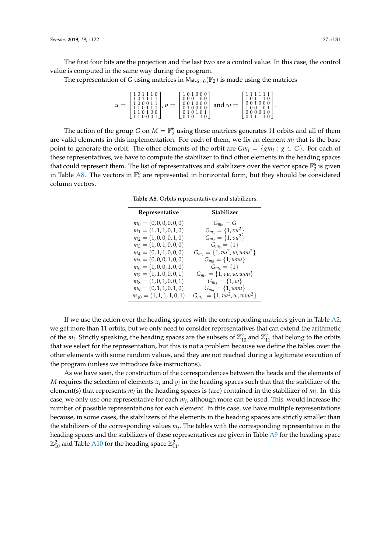The first four bits are the projection and the last two are a control value. In this case, the control value is computed in the same way during the program.

The representation of *G* using matrices in Mat<sub>6×6</sub>( $\mathbb{F}_2$ ) is made using the matrices

<span id="page-26-0"></span>The action of the group *G* on  $M = \mathbb{F}_2^6$  using these matrices generates 11 orbits and all of them are valid elements in this implementation. For each of them, we fix an element *m<sup>i</sup>* that is the base point to generate the orbit. The other elements of the orbit are  $Gm_i = \{gm_i : g \in G\}$ . For each of these representatives, we have to compute the stabilizer to find other elements in the heading spaces that could represent them. The list of representatives and stabilizers over the vector space  $\mathbb{F}_2^6$  is given in Table [A8.](#page-26-0) The vectors in  $\mathbb{F}_2^6$  are represented in horizontal form, but they should be considered column vectors.

**Table A8.** Orbits representatives and stabilizers.

| Representative                | Stabilizer                           |
|-------------------------------|--------------------------------------|
| $m_0 = (0,0,0,0,0,0)$         | $G_{m_0}=G$                          |
| $m_1 = (1, 1, 1, 0, 1, 0)$    | $G_{m_1} = \{1, vu^2\}$              |
| $m_2=(1,0,0,0,1,0)$           | $G_{m_2} = \{1, vu^2\}$              |
| $m_3 = (1, 0, 1, 0, 0, 0)$    | $G_{m_3} = \{1\}$                    |
| $m_4 = (0, 1, 1, 0, 0, 0)$    | $G_{m_4} = \{1, vu^2, w, wvu^2\}$    |
| $m_5 = (0,0,0,1,0,0)$         | $G_{m5} = \{1, wvu\}$                |
| $m_6 = (1, 0, 0, 1, 0, 0)$    | $G_{m_6} = \{1\}$                    |
| $m_7=(1,1,0,0,0,1)$           | $G_{m_7} = \{1, vu, w, wvu\}$        |
| $m_8 = (1, 0, 1, 0, 0, 1)$    | $G_{m_8} = \{1, w\}$                 |
| $m_9=(0,1,1,0,1,0)$           | $G_{m_9} = \{1, wvu\}$               |
| $m_{10} = (1, 1, 1, 1, 0, 1)$ | $G_{m_{10}} = \{1, vu^2, w, wvu^2\}$ |

If we use the action over the heading spaces with the corresponding matrices given in Table [A2,](#page-21-0) we get more than 11 orbits, but we only need to consider representatives that can extend the arithmetic of the  $m_i$ . Strictly speaking, the heading spaces are the subsets of  $\mathbb{Z}_{10}^2$  and  $\mathbb{Z}_{11}^2$  that belong to the orbits that we select for the representation, but this is not a problem because we define the tables over the other elements with some random values, and they are not reached during a legitimate execution of the program (unless we introduce fake instructions).

As we have seen, the construction of the correspondences between the heads and the elements of  $M$  requires the selection of elements  $x_i$  and  $y_i$  in the heading spaces such that that the stabilizer of the element(s) that represents  $m_i$  in the heading spaces is (are) contained in the stabilizer of  $m_i$ . In this case, we only use one representative for each *m<sup>i</sup>* , although more can be used. This would increase the number of possible representations for each element. In this case, we have multiple representations because, in some cases, the stabilizers of the elements in the heading spaces are strictly smaller than the stabilizers of the corresponding values *m<sup>i</sup>* . The tables with the corresponding representative in the heading spaces and the stabilizers of these representatives are given in Table [A9](#page-27-0) for the heading space  $\mathbb{Z}_{10}^2$  and Table [A10](#page-27-1) for the heading space  $\mathbb{Z}_{11}^2$ .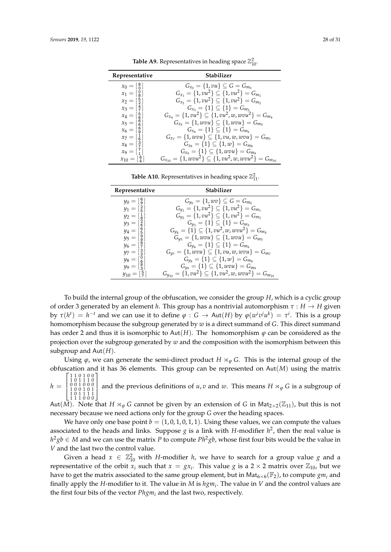<span id="page-27-0"></span>

| Representative                               | Stabilizer                                                               |
|----------------------------------------------|--------------------------------------------------------------------------|
|                                              |                                                                          |
| $x_0 = \lceil \frac{8}{0} \rceil$            | $G_{x_0} = \{1, vu\} \subseteq G = G_{m_0}$                              |
| $x_1 = \begin{bmatrix} 0 \\ 8 \end{bmatrix}$ | $G_{x_1} = \{1, vu^2\} \subseteq \{1, vu^2\} = G_{m_1}$                  |
| $x_2 = \binom{5}{2}$                         | $G_{x_2} = \{1, vu^2\} \subseteq \{1, vu^2\} = G_m$                      |
| $x_3 = \lceil \frac{4}{7} \rceil$            | $G_{x_3} = \{1\} \subseteq \{1\} = G_{m_3}$                              |
| $x_4 = \lceil \frac{5}{6} \rceil$            | $G_{x_4} = \{1, vu^2\} \subseteq \{1, vu^2, w, wvu^2\} = G_{ma}$         |
| $x_{5} = \lceil \frac{6}{6} \rceil$          | $G_{x_5} = \{1, wvu\} \subseteq \{1, wvu\} = G_{m5}$                     |
| $x_6 = [6]$                                  | $G_{x_6} = \{1\} \subseteq \{1\} = G_{m_6}$                              |
| $x_7 = \begin{bmatrix} 1 \\ 6 \end{bmatrix}$ | $G_{x_7} = \{1, wvu\} \subseteq \{1, vu, w, wvu\} = G_{m_7}$             |
| $x_8 = \binom{3}{7}$                         | $G_{x_8} = \{1\} \subseteq \{1,w\} = G_{m_8}$                            |
| $x_9 = \begin{bmatrix} 7 \\ 1 \end{bmatrix}$ | $G_{x_9} = \{1\} \subseteq \{1, wvu\} = G_{m_9}$                         |
| $x_{10} = \lceil \frac{6}{4} \rceil$         | $G_{x_{10}} = \{1, wvu^2\} \subseteq \{1, vu^2, w, wvu^2\} = G_{m_{10}}$ |

**Table A9.** Representatives in heading space  $\mathbb{Z}_{10}^2$ .

|  | <b>Table A10.</b> Representatives in heading space $\mathbb{Z}_{11}^2$ . |  |  |  |
|--|--------------------------------------------------------------------------|--|--|--|
|--|--------------------------------------------------------------------------|--|--|--|

<span id="page-27-1"></span>

| Representative                               | <b>Stabilizer</b>                                                       |
|----------------------------------------------|-------------------------------------------------------------------------|
| $y_0 = \begin{bmatrix} 6 \\ 9 \end{bmatrix}$ | $G_{y_0} = \{1, wv\} \subseteq G = G_{m_0}$                             |
| $y_1 = \lceil \frac{2}{5} \rceil$            | $G_{v_1} = \{1, vu^2\} \subseteq \{1, vu^2\} = G_{m_1}$                 |
| $y_2 = \begin{bmatrix} 1 \\ 8 \end{bmatrix}$ | $G_{v_2} = \{1, vu^2\} \subseteq \{1, vu^2\} = G_{m_2}$                 |
| $y_3 = \begin{bmatrix} 2 \\ 6 \end{bmatrix}$ | $G_{v_3} = \{1\} \subseteq \{1\} = G_{m_3}$                             |
| $y_4 = \lceil \frac{6}{5} \rceil$            | $G_{v_4} = \{1\} \subseteq \{1, vu^2, w, wvu^2\} = G_{m_4}$             |
| $y_5 = \begin{bmatrix} 9 \\ 9 \end{bmatrix}$ | $G_{v_5} = \{1, wvu\} \subseteq \{1, wvu\} = G_{m_5}$                   |
| $y_6 = \lceil \frac{8}{7} \rceil$            | $G_{y_6} = \{1\} \subseteq \{1\} = G_{m_6}$                             |
| $y_7 = \begin{bmatrix} 3 \\ 3 \end{bmatrix}$ | $G_{v_7} = \{1, wvu\} \subseteq \{1, vu, w, wvu\} = G_{m_7}$            |
| $y_8 = \begin{bmatrix} 0 \\ 6 \end{bmatrix}$ | $G_{v_8} = \{1\} \subseteq \{1, w\} = G_{m_8}$                          |
| $y_9 = \binom{8}{3}$                         | $G_{y_9} = \{1\} \subseteq \{1, wvu\} = G_{m_9}$                        |
| $y_{10} = \lceil \frac{5}{7} \rceil$         | $G_{v_{10}} = \{1, vu^2\} \subseteq \{1, vu^2, w, wvu^2\} = G_{m_{10}}$ |

To build the internal group of the obfuscation, we consider the group *H*, which is a cyclic group of order 3 generated by an element *h*. This group has a nontrivial automorphism *τ* : *H* → *H* given by  $\tau(h^t) = h^{-t}$  and we can use it to define  $\varphi : G \to \text{Aut}(H)$  by  $\varphi(w^iv^ju^k) = \tau^i$ . This is a group homomorphism because the subgroup generated by *w* is a direct summand of *G*. This direct summand has order 2 and thus it is isomorphic to Aut(*H*). The homomorphism  $\varphi$  can be considered as the projection over the subgroup generated by *w* and the composition with the isomorphism between this subgroup and Aut(*H*).

Using  $\varphi$ , we can generate the semi-direct product *H*  $\rtimes_{\varphi} G$ . This is the internal group of the obfuscation and it has 36 elements. This group can be represented on Aut(*M*) using the matrix  $\lceil$ 1 1 0 1 0 0 1

 $h =$  $\Big\}$ 1 0 1 1 1 0 0 0 1 0 0 0 1 0 0 1 0 1 1 0 1 1 1 1  $1$  1 1 0 0 0  $\overline{0}$  $\overline{1}$ and the previous definitions of *u*, *v* and *w*. This means  $H \rtimes_{\varphi} G$  is a subgroup of

Aut(*M*). Note that *H*  $\rtimes_{\varphi}$  *G* cannot be given by an extension of *G* in Mat<sub>2×2</sub>( $\mathbb{Z}_{11}$ ), but this is not necessary because we need actions only for the group *G* over the heading spaces.

We have only one base point  $b = (1, 0, 1, 0, 1, 1)$ . Using these values, we can compute the values associated to the heads and links. Suppose  $g$  is a link with *H*-modifier  $h^2$ , then the real value is *h* <sup>2</sup>*gb* ∈ *M* and we can use the matrix *P* to compute *Ph*2*gb*, whose first four bits would be the value in *V* and the last two the control value.

Given a head  $x \in \mathbb{Z}_{10}^2$  with *H*-modifier *h*, we have to search for a group value *g* and a representative of the orbit  $\tilde{x}_i$  such that  $x = gx_i$ . This value *g* is a 2 × 2 matrix over  $\mathbb{Z}_{10}$ , but we have to get the matrix associated to the same group element, but in Mat<sub>6×6</sub>( $\mathbb{F}_2$ ), to compute *gm*<sub>*i*</sub> and finally apply the *H*-modifier to it. The value in *M* is *hgm<sup>i</sup>* . The value in *V* and the control values are the first four bits of the vector *Phgm<sup>i</sup>* and the last two, respectively.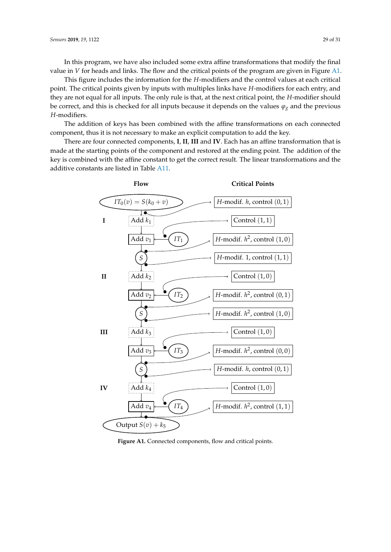In this program, we have also included some extra affine transformations that modify the final value in *V* for heads and links. The flow and the critical points of the program are given in Figure [A1.](#page-28-0)

This figure includes the information for the *H*-modifiers and the control values at each critical point. The critical points given by inputs with multiples links have *H*-modifiers for each entry, and they are not equal for all inputs. The only rule is that, at the next critical point, the *H*-modifier should be correct, and this is checked for all inputs because it depends on the values  $\varphi_{\alpha}$  and the previous *H*-modifiers.

The addition of keys has been combined with the affine transformations on each connected component, thus it is not necessary to make an explicit computation to add the key.

<span id="page-28-0"></span>There are four connected components, **I**, **II**, **III** and **IV**. Each has an affine transformation that is made at the starting points of the component and restored at the ending point. The addition of the key is combined with the affine constant to get the correct result. The linear transformations and the additive constants are listed in Table [A11.](#page-29-10)



Figure A1. Connected components, flow and critical points.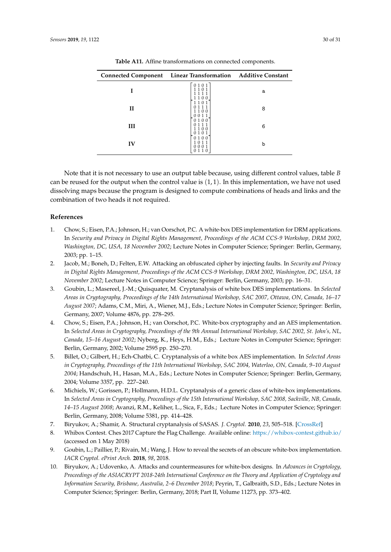<span id="page-29-10"></span>

|    | Connected Component Linear Transformation Additive Constant |   |
|----|-------------------------------------------------------------|---|
|    |                                                             | а |
| П  |                                                             | 8 |
| Ш  |                                                             | 6 |
| IV |                                                             | b |

**Table A11.** Affine transformations on connected components.

Note that it is not necessary to use an output table because, using different control values, table *B* can be reused for the output when the control value is  $(1, 1)$ . In this implementation, we have not used dissolving maps because the program is designed to compute combinations of heads and links and the combination of two heads it not required.

## **References**

- <span id="page-29-0"></span>1. Chow, S.; Eisen, P.A.; Johnson, H.; van Oorschot, P.C. A white-box DES implementation for DRM applications. In *Security and Privacy in Digital Rights Management, Proceedings of the ACM CCS-9 Workshop, DRM 2002, Washington, DC, USA, 18 November 2002*; Lecture Notes in Computer Science; Springer: Berlin, Germany, 2003; pp. 1–15.
- <span id="page-29-1"></span>2. Jacob, M.; Boneh, D.; Felten, E.W. Attacking an obfuscated cipher by injecting faults. In *Security and Privacy in Digital Rights Management, Proceedings of the ACM CCS-9 Workshop, DRM 2002, Washington, DC, USA, 18 November 2002*; Lecture Notes in Computer Science; Springer: Berlin, Germany, 2003; pp. 16–31.
- <span id="page-29-2"></span>3. Goubin, L.; Masereel, J.-M.; Quisquater, M. Cryptanalysis of white box DES implementations. In *Selected Areas in Cryptography, Proceedings of the 14th International Workshop, SAC 2007, Ottawa, ON, Canada, 16–17 August 2007*; Adams, C.M., Miri, A., Wiener, M.J., Eds.; Lecture Notes in Computer Science; Springer: Berlin, Germany, 2007; Volume 4876, pp. 278–295.
- <span id="page-29-3"></span>4. Chow, S.; Eisen, P.A.; Johnson, H.; van Oorschot, P.C. White-box cryptography and an AES implementation. In *Selected Areas in Cryptography, Proceedings of the 9th Annual International Workshop, SAC 2002, St. John's, NL, Canada, 15–16 August 2002*; Nyberg, K., Heys, H.M., Eds.; Lecture Notes in Computer Science; Springer: Berlin, Germany, 2002; Volume 2595 pp. 250–270.
- <span id="page-29-4"></span>5. Billet, O.; Gilbert, H.; Ech-Chatbi, C. Cryptanalysis of a white box AES implementation. In *Selected Areas in Cryptography, Proceedings of the 11th International Workshop, SAC 2004, Waterloo, ON, Canada, 9–10 August 2004*; Handschuh, H., Hasan, M.A., Eds.; Lecture Notes in Computer Science; Springer: Berlin, Germany, 2004; Volume 3357, pp. 227–240.
- <span id="page-29-5"></span>6. Michiels, W.; Gorissen, P.; Hollmann, H.D.L. Cryptanalysis of a generic class of white-box implementations. In *Selected Areas in Cryptography, Proceedings of the 15th International Workshop, SAC 2008, Sackville, NB, Canada, 14–15 August 2008*; Avanzi, R.M., Keliher, L., Sica, F., Eds.; Lecture Notes in Computer Science; Springer: Berlin, Germany, 2008; Volume 5381, pp. 414–428.
- <span id="page-29-6"></span>7. Biryukov, A.; Shamir, A. Structural cryptanalysis of SASAS. *J. Cryptol.* **2010**, *23*, 505–518. [\[CrossRef\]](http://dx.doi.org/10.1007/s00145-010-9062-1)
- <span id="page-29-7"></span>8. Whibox Contest. Ches 2017 Capture the Flag Challenge. Available online: <https://whibox-contest.github.io/> (accessed on 1 May 2018)
- <span id="page-29-8"></span>9. Goubin, L.; Paillier, P.; Rivain, M.; Wang, J. How to reveal the secrets of an obscure white-box implementation. *IACR Cryptol. ePrint Arch.* **2018**, *98*, 2018.
- <span id="page-29-9"></span>10. Biryukov, A.; Udovenko, A. Attacks and countermeasures for white-box designs. In *Advances in Cryptology, Proceedings of the ASIACRYPT 2018-24th International Conference on the Theory and Application of Cryptology and Information Security, Brisbane, Australia, 2–6 December 2018*; Peyrin, T., Galbraith, S.D., Eds.; Lecture Notes in Computer Science; Springer: Berlin, Germany, 2018; Part II, Volume 11273, pp. 373–402.